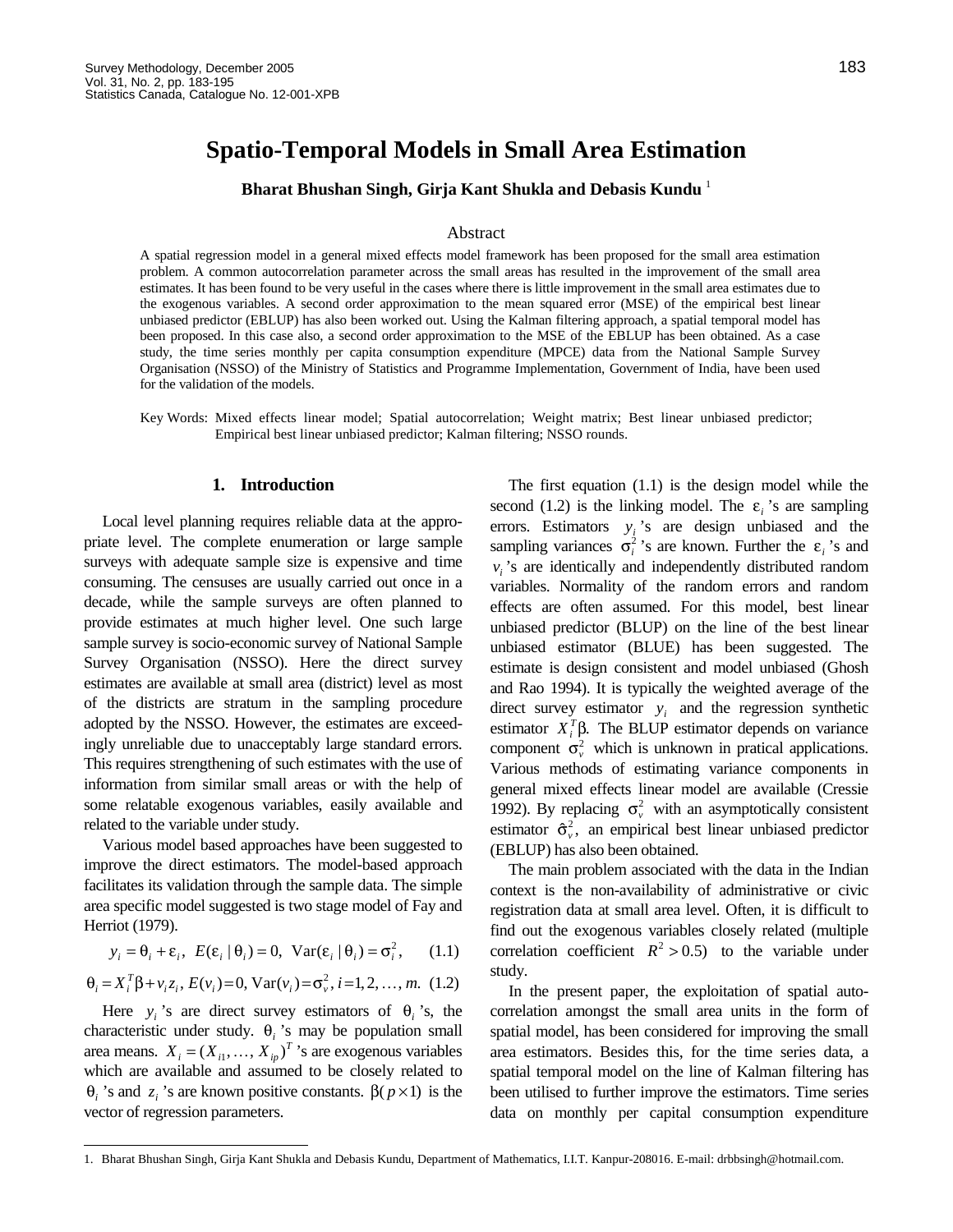# **Spatio-Temporal Models in Small Area Estimation**

**Bharat Bhushan Singh, Girja Kant Shukla and Debasis Kundu** <sup>1</sup>

#### Abstract

A spatial regression model in a general mixed effects model framework has been proposed for the small area estimation problem. A common autocorrelation parameter across the small areas has resulted in the improvement of the small area estimates. It has been found to be very useful in the cases where there is little improvement in the small area estimates due to the exogenous variables. A second order approximation to the mean squared error (MSE) of the empirical best linear unbiased predictor (EBLUP) has also been worked out. Using the Kalman filtering approach, a spatial temporal model has been proposed. In this case also, a second order approximation to the MSE of the EBLUP has been obtained. As a case study, the time series monthly per capita consumption expenditure (MPCE) data from the National Sample Survey Organisation (NSSO) of the Ministry of Statistics and Programme Implementation, Government of India, have been used for the validation of the models.

Key Words: Mixed effects linear model; Spatial autocorrelation; Weight matrix; Best linear unbiased predictor; Empirical best linear unbiased predictor; Kalman filtering; NSSO rounds.

## **1. Introduction**

Local level planning requires reliable data at the appropriate level. The complete enumeration or large sample surveys with adequate sample size is expensive and time consuming. The censuses are usually carried out once in a decade, while the sample surveys are often planned to provide estimates at much higher level. One such large sample survey is socio-economic survey of National Sample Survey Organisation (NSSO). Here the direct survey estimates are available at small area (district) level as most of the districts are stratum in the sampling procedure adopted by the NSSO. However, the estimates are exceedingly unreliable due to unacceptably large standard errors. This requires strengthening of such estimates with the use of information from similar small areas or with the help of some relatable exogenous variables, easily available and related to the variable under study.

Various model based approaches have been suggested to improve the direct estimators. The model-based approach facilitates its validation through the sample data. The simple area specific model suggested is two stage model of Fay and Herriot (1979).

$$
y_i = \theta_i + \varepsilon_i, \ E(\varepsilon_i \mid \theta_i) = 0, \ Var(\varepsilon_i \mid \theta_i) = \sigma_i^2, \qquad (1.1)
$$

$$
\theta_i = X_i^T \beta + v_i z_i
$$
,  $E(v_i) = 0$ ,  $Var(v_i) = \sigma_v^2$ ,  $i = 1, 2, ..., m$ . (1.2)

Here  $y_i$ 's are direct survey estimators of  $\theta_i$ 's, the characteristic under study.  $\theta_i$ 's may be population small area means.  $X_i = (X_{i1}, ..., X_{ip})^T$  's are exogenous variables which are available and assumed to be closely related to θ<sub>*i*</sub> 's and  $z_i$ 's are known positive constants.  $β(p \t 1)$  is the vector of regression parameters.

1

The first equation (1.1) is the design model while the second (1.2) is the linking model. The  $\varepsilon_i$ 's are sampling errors. Estimators  $y_i$ 's are design unbiased and the sampling variances  $\sigma_i^2$ 's are known. Further the  $\varepsilon_i$ 's and  $v_i$ 's are identically and independently distributed random variables. Normality of the random errors and random effects are often assumed. For this model, best linear unbiased predictor (BLUP) on the line of the best linear unbiased estimator (BLUE) has been suggested. The estimate is design consistent and model unbiased (Ghosh and Rao 1994). It is typically the weighted average of the direct survey estimator  $y_i$  and the regression synthetic estimator  $X_i^T \beta$ . The BLUP estimator depends on variance component  $\sigma_v^2$  which is unknown in pratical applications. Various methods of estimating variance components in general mixed effects linear model are available (Cressie 1992). By replacing  $\sigma_v^2$  with an asymptotically consistent estimator  $\hat{\sigma}_{\nu}^2$ , an empirical best linear unbiased predictor (EBLUP) has also been obtained.

The main problem associated with the data in the Indian context is the non-availability of administrative or civic registration data at small area level. Often, it is difficult to find out the exogenous variables closely related (multiple correlation coefficient  $R^2 > 0.5$ ) to the variable under study.

In the present paper, the exploitation of spatial autocorrelation amongst the small area units in the form of spatial model, has been considered for improving the small area estimators. Besides this, for the time series data, a spatial temporal model on the line of Kalman filtering has been utilised to further improve the estimators. Time series data on monthly per capital consumption expenditure

<sup>1.</sup> Bharat Bhushan Singh, Girja Kant Shukla and Debasis Kundu, Department of Mathematics, I.I.T. Kanpur-208016. E-mail: drbbsingh@hotmail.com.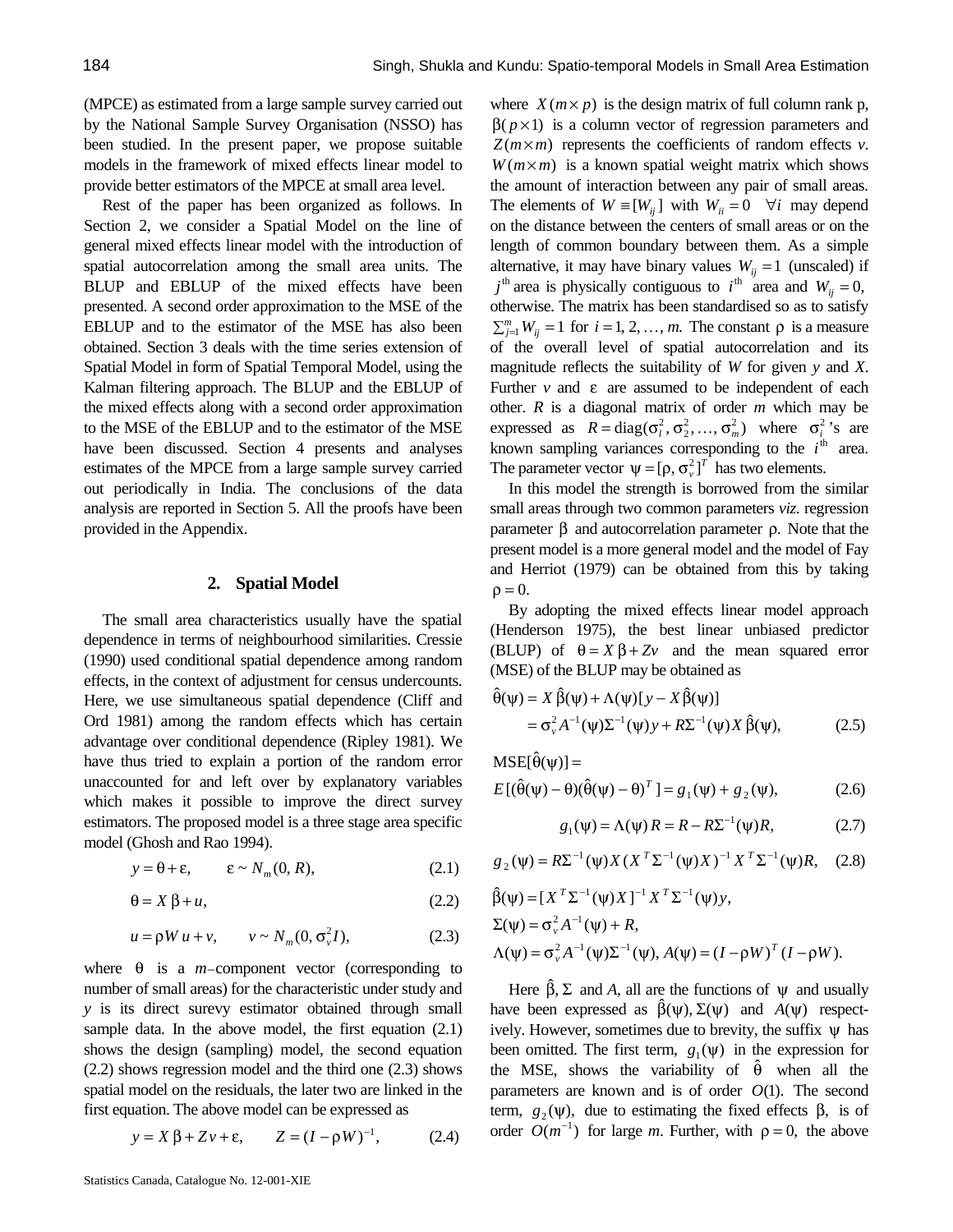(MPCE) as estimated from a large sample survey carried out by the National Sample Survey Organisation (NSSO) has been studied. In the present paper, we propose suitable models in the framework of mixed effects linear model to provide better estimators of the MPCE at small area level.

Rest of the paper has been organized as follows. In Section 2, we consider a Spatial Model on the line of general mixed effects linear model with the introduction of spatial autocorrelation among the small area units. The BLUP and EBLUP of the mixed effects have been presented. A second order approximation to the MSE of the EBLUP and to the estimator of the MSE has also been obtained. Section 3 deals with the time series extension of Spatial Model in form of Spatial Temporal Model, using the Kalman filtering approach. The BLUP and the EBLUP of the mixed effects along with a second order approximation to the MSE of the EBLUP and to the estimator of the MSE have been discussed. Section 4 presents and analyses estimates of the MPCE from a large sample survey carried out periodically in India. The conclusions of the data analysis are reported in Section 5. All the proofs have been provided in the Appendix.

## **2. Spatial Model**

The small area characteristics usually have the spatial dependence in terms of neighbourhood similarities. Cressie (1990) used conditional spatial dependence among random effects, in the context of adjustment for census undercounts. Here, we use simultaneous spatial dependence (Cliff and Ord 1981) among the random effects which has certain advantage over conditional dependence (Ripley 1981). We have thus tried to explain a portion of the random error unaccounted for and left over by explanatory variables which makes it possible to improve the direct survey estimators. The proposed model is a three stage area specific model (Ghosh and Rao 1994).

$$
y = \theta + \varepsilon, \qquad \varepsilon \sim N_m(0, R), \tag{2.1}
$$

$$
\theta = X \beta + u,\tag{2.2}
$$

$$
u = \rho W u + v, \qquad v \sim N_m(0, \sigma_v^2 I), \tag{2.3}
$$

where  $\theta$  is a *m*–component vector (corresponding to number of small areas) for the characteristic under study and *y* is its direct surevy estimator obtained through small sample data. In the above model, the first equation (2.1) shows the design (sampling) model, the second equation (2.2) shows regression model and the third one (2.3) shows spatial model on the residuals, the later two are linked in the first equation. The above model can be expressed as

$$
y = X \beta + Zv + \varepsilon
$$
,  $Z = (I - \rho W)^{-1}$ , (2.4)

where  $X(m \, p)$  is the design matrix of full column rank p,  $β(p \t1)$  is a column vector of regression parameters and *Z*(*m m*) represents the coefficients of random effects *v*. *W* (*m m*) is a known spatial weight matrix which shows the amount of interaction between any pair of small areas. The elements of  $W = [W_{ij}]$  with  $W_{ii} = 0 \quad \forall i$  may depend on the distance between the centers of small areas or on the length of common boundary between them. As a simple alternative, it may have binary values  $W_{ij} = 1$  (unscaled) if  $j^{\text{th}}$  area is physically contiguous to  $i^{\text{th}}$  area and  $W_{ij} = 0$ , otherwise. The matrix has been standardised so as to satisfy  $\sum_{j=1}^{m} W_{ij} = 1$  for  $i = 1, 2, ..., m$ . The constant  $\rho$  is a measure of the overall level of spatial autocorrelation and its magnitude reflects the suitability of *W* for given *y* and *X*. Further  $\nu$  and  $\varepsilon$  are assumed to be independent of each other. *R* is a diagonal matrix of order *m* which may be expressed as  $R = \text{diag}(\sigma_i^2, \sigma_2^2, ..., \sigma_m^2)$  where  $\sigma_i^2$ 's are known sampling variances corresponding to the  $i<sup>th</sup>$  area. The parameter vector  $\psi = [\rho, \sigma_v^2]^T$  has two elements.

In this model the strength is borrowed from the similar small areas through two common parameters *viz*. regression parameter β and autocorrelation parameter ρ. Note that the present model is a more general model and the model of Fay and Herriot (1979) can be obtained from this by taking  $\rho = 0.$ 

By adopting the mixed effects linear model approach (Henderson 1975), the best linear unbiased predictor (BLUP) of  $\theta = X \beta + Zv$  and the mean squared error (MSE) of the BLUP may be obtained as

$$
\hat{\theta}(\psi) = X \hat{\beta}(\psi) + \Lambda(\psi)[y - X \hat{\beta}(\psi)] \n= \sigma_v^2 A^{-1}(\psi) \Sigma^{-1}(\psi) y + R \Sigma^{-1}(\psi) X \hat{\beta}(\psi),
$$
\n(2.5)

 $MSE[\hat{\theta}(\psi)] =$ 

$$
E\left[\left(\hat{\theta}(\psi) - \theta\right)\left(\hat{\theta}(\psi) - \theta\right)^T\right] = g_1(\psi) + g_2(\psi),\tag{2.6}
$$

$$
g_1(\psi) = \Lambda(\psi) R = R - R\Sigma^{-1}(\psi)R, \qquad (2.7)
$$

$$
g_2(\psi) = R\Sigma^{-1}(\psi)X(X^T\Sigma^{-1}(\psi)X)^{-1}X^T\Sigma^{-1}(\psi)R, \quad (2.8)
$$

$$
\hat{\beta}(\psi) = [X^T \Sigma^{-1}(\psi) X]^{-1} X^T \Sigma^{-1}(\psi) y,
$$
  
\n
$$
\Sigma(\psi) = \sigma_v^2 A^{-1}(\psi) + R,
$$
  
\n
$$
\Lambda(\psi) = \sigma_v^2 A^{-1}(\psi) \Sigma^{-1}(\psi), A(\psi) = (I - \rho W)^T (I - \rho W).
$$

Here  $\hat{\beta}$ ,  $\Sigma$  and *A*, all are the functions of  $\psi$  and usually have been expressed as  $\hat{\beta}(\psi), \Sigma(\psi)$  and  $A(\psi)$  respectively. However, sometimes due to brevity, the suffix  $\psi$  has been omitted. The first term,  $g_1(\psi)$  in the expression for the MSE, shows the variability of  $\hat{\theta}$  when all the parameters are known and is of order *O*(1). The second term,  $g_2(\psi)$ , due to estimating the fixed effects  $\beta$ , is of order  $O(m^{-1})$  for large *m*. Further, with  $\rho = 0$ , the above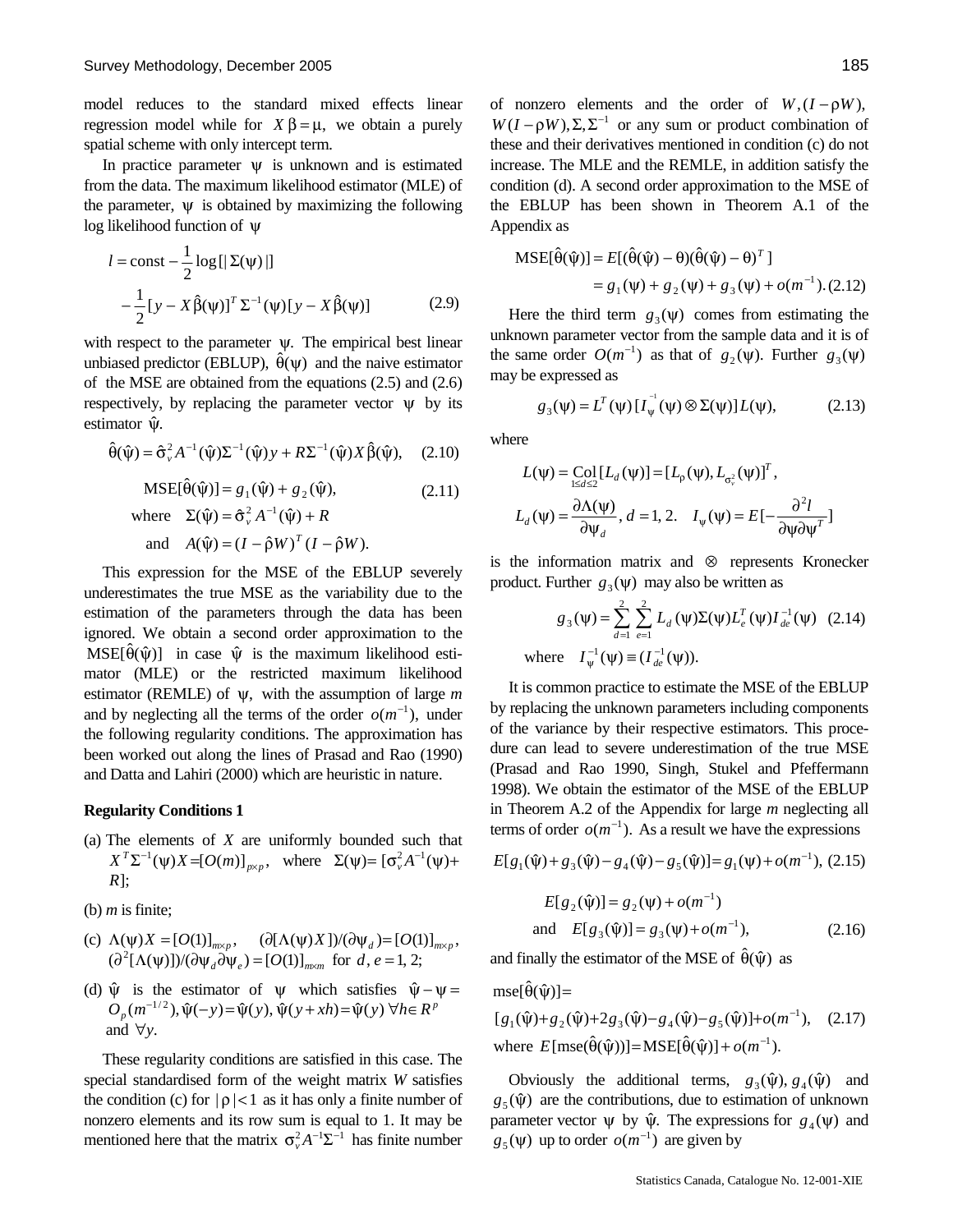model reduces to the standard mixed effects linear regression model while for  $X$ β = , we obtain a purely spatial scheme with only intercept term.

In practice parameter  $\psi$  is unknown and is estimated from the data. The maximum likelihood estimator (MLE) of the parameter,  $\psi$  is obtained by maximizing the following log likelihood function of ψ

$$
l = \text{const} - \frac{1}{2} \log \left[ \left| \Sigma(\psi) \right| \right]
$$

$$
- \frac{1}{2} \left[ y - X \hat{\beta}(\psi) \right]^T \Sigma^{-1}(\psi) \left[ y - X \hat{\beta}(\psi) \right] \tag{2.9}
$$

with respect to the parameter  $\psi$ . The empirical best linear unbiased predictor (EBLUP),  $\hat{\theta}(\psi)$  and the naive estimator of the MSE are obtained from the equations (2.5) and (2.6) respectively, by replacing the parameter vector  $\psi$  by its estimator ψ̂.

$$
\hat{\theta}(\hat{\psi}) = \hat{\sigma}_{\nu}^2 A^{-1}(\hat{\psi}) \Sigma^{-1}(\hat{\psi}) y + R \Sigma^{-1}(\hat{\psi}) X \hat{\beta}(\hat{\psi}), \quad (2.10)
$$

 $MSE[\hat{\theta}(\hat{\psi})] = g_1(\hat{\psi}) + g_2(\hat{\psi}),$ (2.11)

where 
$$
\Sigma(\hat{\psi}) = \hat{\sigma}_{\nu}^2 A^{-1}(\hat{\psi}) + R
$$
  
and  $A(\hat{\psi}) = (I - \hat{\rho}W)^T (I - \hat{\rho}W)$ .

This expression for the MSE of the EBLUP severely underestimates the true MSE as the variability due to the estimation of the parameters through the data has been ignored. We obtain a second order approximation to the  $MSE[\hat{\theta}(\hat{\psi})]$  in case  $\hat{\psi}$  is the maximum likelihood estimator (MLE) or the restricted maximum likelihood estimator (REMLE) of ψ, with the assumption of large *m* and by neglecting all the terms of the order  $o(m^{-1})$ , under the following regularity conditions. The approximation has been worked out along the lines of Prasad and Rao (1990) and Datta and Lahiri (2000) which are heuristic in nature.

#### **Regularity Conditions 1**

(a) The elements of *X* are uniformly bounded such that  $X^T \Sigma^{-1}(\psi) X = [O(m)]_{p \, p}$ , where  $\Sigma(\psi) = [\sigma_v^2 A^{-1}(\psi) +$ *R*];

(b)  $m$  is finite;

- (c)  $\Lambda(\psi) X = [O(1)]_{m p}$ ,  $(\partial [\Lambda(\psi) X]) / (\partial \psi_d) = [O(1)]_{m p}$ ,  $(\partial^2 [\Lambda(\psi)]/(\partial \psi_d \partial \psi_e) = [O(1)]_{m \ m}$  for *d*, *e* = 1, 2;
- (d)  $\hat{\psi}$  is the estimator of  $\psi$  which satisfies  $\hat{\psi} \psi =$  $O_p(m^{-1/2}), \hat{\psi}(-y) = \hat{\psi}(y), \hat{\psi}(y + xh) = \hat{\psi}(y) \; \forall h \in R^p$ and  $\forall v$ .

These regularity conditions are satisfied in this case. The special standardised form of the weight matrix *W* satisfies the condition (c) for  $|\rho|<1$  as it has only a finite number of nonzero elements and its row sum is equal to 1. It may be mentioned here that the matrix  $\sigma_v^2 A^{-1} \Sigma^{-1}$  has finite number of nonzero elements and the order of  $W$ ,  $(I - \rho W)$ ,  $W(I - \rho W), \Sigma, \Sigma^{-1}$  or any sum or product combination of these and their derivatives mentioned in condition (c) do not increase. The MLE and the REMLE, in addition satisfy the condition (d). A second order approximation to the MSE of the EBLUP has been shown in Theorem A.1 of the Appendix as

$$
MSE[\hat{\theta}(\hat{\psi})] = E[(\hat{\theta}(\hat{\psi}) - \theta)(\hat{\theta}(\hat{\psi}) - \theta)^{T}]
$$
  
=  $g_1(\psi) + g_2(\psi) + g_3(\psi) + o(m^{-1}). (2.12)$ 

Here the third term  $g_3(\psi)$  comes from estimating the unknown parameter vector from the sample data and it is of the same order  $O(m^{-1})$  as that of  $g_2(\psi)$ . Further  $g_3(\psi)$ may be expressed as

$$
g_3(\psi) = L^T(\psi) [I_{\psi}^{-1}(\psi) \otimes \Sigma(\psi)] L(\psi), \tag{2.13}
$$

where

$$
L(\psi) = \underset{1 \le d \le 2}{\text{Col}} [L_d(\psi)] = [L_{\rho}(\psi), L_{\sigma_v^2}(\psi)]^T,
$$
  

$$
L_d(\psi) = \frac{\partial \Lambda(\psi)}{\partial \psi_d}, d = 1, 2, I_{\psi}(\psi) = E[-\frac{\partial^2 l}{\partial \psi \partial \psi^T}]
$$

is the information matrix and ⊗ represents Kronecker product. Further  $g_3(\psi)$  may also be written as

$$
g_3(\psi) = \sum_{d=1}^{2} \sum_{e=1}^{2} L_d(\psi) \Sigma(\psi) L_e^T(\psi) I_{de}^{-1}(\psi)
$$
 (2.14)  
where  $I_{\psi}^{-1}(\psi) \equiv (I_{de}^{-1}(\psi)).$ 

It is common practice to estimate the MSE of the EBLUP by replacing the unknown parameters including components of the variance by their respective estimators. This procedure can lead to severe underestimation of the true MSE (Prasad and Rao 1990, Singh, Stukel and Pfeffermann 1998). We obtain the estimator of the MSE of the EBLUP in Theorem A.2 of the Appendix for large *m* neglecting all terms of order  $o(m^{-1})$ . As a result we have the expressions

$$
E[g_1(\hat{\psi}) + g_3(\hat{\psi}) - g_4(\hat{\psi}) - g_5(\hat{\psi})] = g_1(\psi) + o(m^{-1}), (2.15)
$$
  

$$
E[g_2(\hat{\psi})] = g_2(\psi) + o(m^{-1})
$$

and 
$$
E[g_3(\hat{\psi})] = g_3(\psi) + o(m^{-1}),
$$
 (2.16)

and finally the estimator of the MSE of  $\hat{\theta}(\hat{\psi})$  as

 $mse[\hat{\theta}(\hat{\psi})] =$ 

where  $E[\text{mse}(\hat{\theta}(\hat{\psi}))] = \text{MSE}[\hat{\theta}(\hat{\psi})] + o(m^{-1}).$  $[g_1(\hat{\psi})+g_2(\hat{\psi})+2g_3(\hat{\psi})-g_4(\hat{\psi})-g_5(\hat{\psi})]+o(m^{-1}),$  (2.17)

Obviously the additional terms,  $g_3(\hat{\psi}), g_4(\hat{\psi})$  and  $g_5(\hat{\psi})$  are the contributions, due to estimation of unknown parameter vector  $\psi$  by  $\hat{\psi}$ . The expressions for  $g_4(\psi)$  and  $g_5(\psi)$  up to order  $o(m^{-1})$  are given by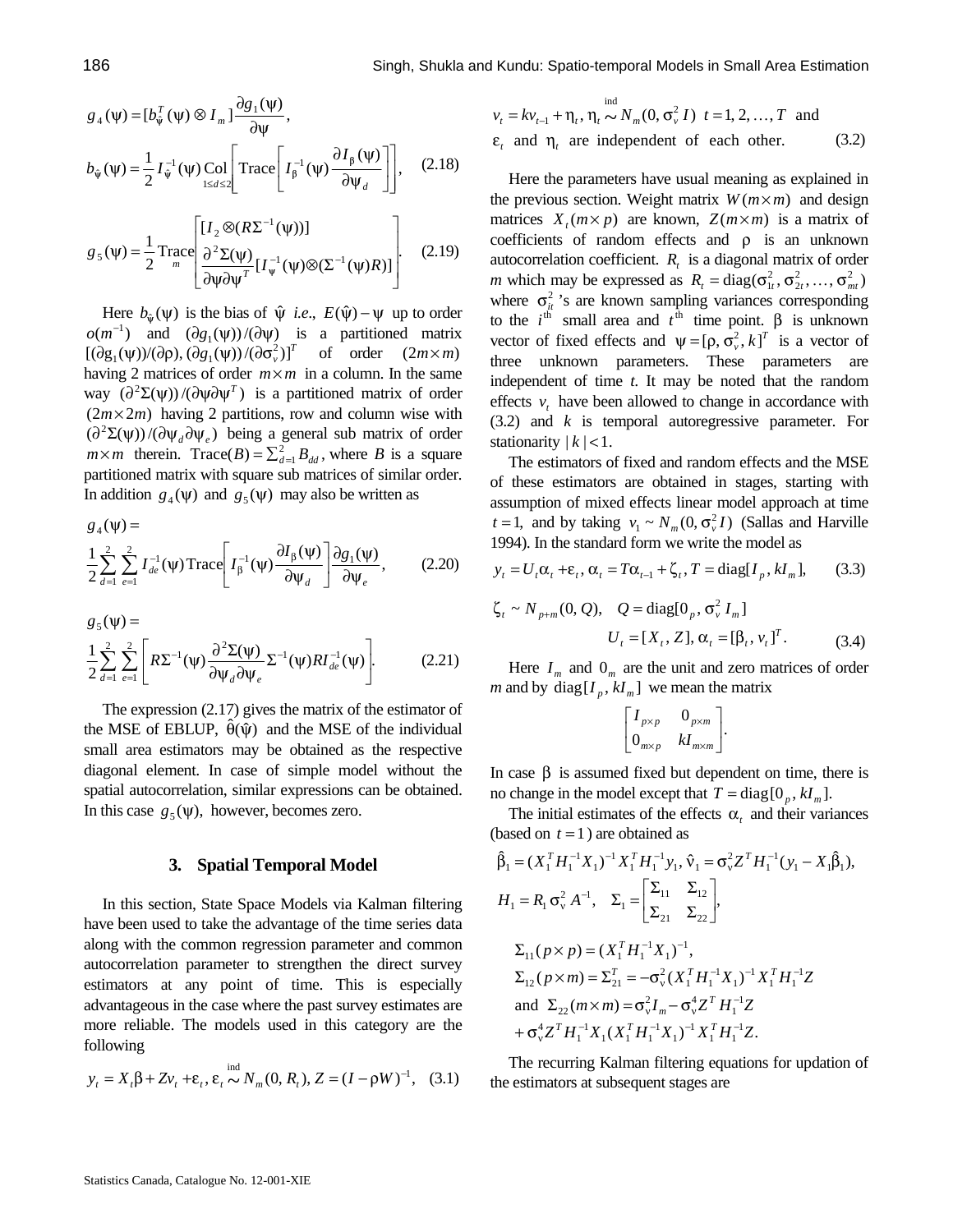$$
g_4(\psi) = [b_{\hat{\psi}}^T(\psi) \otimes I_m] \frac{\partial g_1(\psi)}{\partial \psi},
$$
  

$$
b_{\hat{\psi}}(\psi) = \frac{1}{2} I_{\hat{\psi}}^{-1}(\psi) \text{Col}\left[\text{Trace}\left[I_{\beta}^{-1}(\psi) \frac{\partial I_{\beta}(\psi)}{\partial \psi_d}\right]\right], \quad (2.18)
$$

$$
g_5(\psi) = \frac{1}{2} \text{Trace} \left[ \frac{[I_2 \otimes (R\Sigma^{-1}(\psi))] }{\frac{\partial^2 \Sigma(\psi)}{\partial \psi \partial \psi^T} [I_{\psi}^{-1}(\psi) \otimes (\Sigma^{-1}(\psi)R)]} \right].
$$
 (2.19)

Here  $b_{\hat{\psi}}(\psi)$  is the bias of  $\hat{\psi}$  *i.e.*,  $E(\hat{\psi}) - \psi$  up to order  $o(m^{-1})$  and  $(\partial g_1(\psi))/(\partial \psi)$  is a partitioned matrix  $[(\partial g_1(\psi))/(\partial \rho), (\partial g_1(\psi))/(\partial \sigma_v^2)]^T$  of order  $(2m \ m)$ having 2 matrices of order *m m* in a column. In the same way  $\left(\frac{\partial^2 \Sigma(\psi)}{\partial \psi \partial \psi^T}\right)$  is a partitioned matrix of order (2*m* 2*m*) having 2 partitions, row and column wise with  $\left(\frac{\partial^2 \Sigma(\psi)}{\partial \psi_d \partial \psi_e}\right)$  being a general sub matrix of order *m m* therein. Trace(*B*) =  $\sum_{d=1}^{2}$  *B*<sub>*dd</sub>*, where *B* is a square</sub> partitioned matrix with square sub matrices of similar order. In addition  $g_4(\psi)$  and  $g_5(\psi)$  may also be written as

$$
g_4(\psi) =
$$
  

$$
\frac{1}{2} \sum_{d=1}^{2} \sum_{e=1}^{2} I_{de}^{-1}(\psi) \text{Trace}\left[ I_{\beta}^{-1}(\psi) \frac{\partial I_{\beta}(\psi)}{\partial \psi_d} \right] \frac{\partial g_1(\psi)}{\partial \psi_e}, \quad (2.20)
$$

$$
g_5(\psi) =
$$
  
\n
$$
\frac{1}{2} \sum_{d=1}^{2} \sum_{e=1}^{2} \left[ R \Sigma^{-1}(\psi) \frac{\partial^2 \Sigma(\psi)}{\partial \psi_d \partial \psi_e} \Sigma^{-1}(\psi) R I_{de}^{-1}(\psi) \right].
$$
\n(2.21)

The expression (2.17) gives the matrix of the estimator of the MSE of EBLUP,  $\hat{\theta}(\hat{\psi})$  and the MSE of the individual small area estimators may be obtained as the respective diagonal element. In case of simple model without the spatial autocorrelation, similar expressions can be obtained. In this case  $g_5(\psi)$ , however, becomes zero.

#### **3. Spatial Temporal Model**

In this section, State Space Models via Kalman filtering have been used to take the advantage of the time series data along with the common regression parameter and common autocorrelation parameter to strengthen the direct survey estimators at any point of time. This is especially advantageous in the case where the past survey estimates are more reliable. The models used in this category are the following

$$
y_t = X_t \beta + Zv_t + \varepsilon_t, \varepsilon_t \sim N_m(0, R_t), Z = (I - \rho W)^{-1},
$$
 (3.1)

$$
v_t = kv_{t-1} + \eta_t, \eta_t \sim N_m(0, \sigma_v^2 I) \quad t = 1, 2, ..., T \text{ and}
$$
  
\n
$$
\varepsilon_t \text{ and } \eta_t \text{ are independent of each other.}
$$
 (3.2)

Here the parameters have usual meaning as explained in the previous section. Weight matrix  $W(m \mid m)$  and design matrices  $X_i$  (*m p*) are known,  $Z(m \mid m)$  is a matrix of coefficients of random effects and ρ is an unknown autocorrelation coefficient.  $R_t$  is a diagonal matrix of order *m* which may be expressed as  $R_t = \text{diag}(\sigma_{1t}^2, \sigma_{2t}^2, ..., \sigma_{mt}^2)$ where  $\sigma_{it}^2$ 's are known sampling variances corresponding to the  $i^{\text{th}}$  small area and  $t^{\text{th}}$  time point. β is unknown vector of fixed effects and  $\psi = [\rho, \sigma_v^2, k]^T$  is a vector of three unknown parameters. These parameters are independent of time *t*. It may be noted that the random effects  $v_t$  have been allowed to change in accordance with (3.2) and *k* is temporal autoregressive parameter. For stationarity  $|k|$  < 1.

The estimators of fixed and random effects and the MSE of these estimators are obtained in stages, starting with assumption of mixed effects linear model approach at time  $t = 1$ , and by taking  $v_1 \sim N_m(0, \sigma_v^2 I)$  (Sallas and Harville 1994). In the standard form we write the model as

$$
y_t = U_t \alpha_t + \varepsilon_t, \alpha_t = T \alpha_{t-1} + \zeta_t, T = \text{diag}[I_p, kI_m], \qquad (3.3)
$$

$$
\zeta_t \sim N_{p+m}(0, Q), \quad Q = \text{diag}[0_p, \sigma_v^2 I_m]
$$

$$
U_t = [X_t, Z], \alpha_t = [\beta_t, v_t]^T. \tag{3.4}
$$

Here  $I_m$  and  $O_m$  are the unit and zero matrices of order *m* and by diag $[I_p, kI_m]$  we mean the matrix

$$
\begin{bmatrix} I_{p & p} & 0_{p & m} \\ 0_{m & p} & kI_{m & m} \end{bmatrix}.
$$

In case  $β$  is assumed fixed but dependent on time, there is no change in the model except that  $T = diag[0_p, kI_m]$ .

The initial estimates of the effects  $\alpha$ <sub>t</sub> and their variances (based on  $t = 1$ ) are obtained as

$$
\hat{\beta}_1 = (X_1^T H_1^{-1} X_1)^{-1} X_1^T H_1^{-1} y_1, \hat{v}_1 = \sigma_v^2 Z^T H_1^{-1} (y_1 - X_1 \hat{\beta}_1),
$$
\n
$$
H_1 = R_1 \sigma_v^2 A^{-1}, \quad \Sigma_1 = \begin{bmatrix} \Sigma_{11} & \Sigma_{12} \\ \Sigma_{21} & \Sigma_{22} \end{bmatrix},
$$
\n
$$
\Sigma_{11} (p \quad p) = (X_1^T H_1^{-1} X_1)^{-1},
$$
\n
$$
\Sigma_{12} (p \quad m) = \Sigma_{21}^T = -\sigma_v^2 (X_1^T H_1^{-1} X_1)^{-1} X_1^T H_1^{-1} Z
$$
\nand\n
$$
\Sigma_{22} (m \quad m) = \sigma_v^2 I_m - \sigma_v^4 Z^T H_1^{-1} Z
$$
\n
$$
+ \sigma_v^4 Z^T H_1^{-1} X_1 (X_1^T H_1^{-1} X_1)^{-1} X_1^T H_1^{-1} Z.
$$

The recurring Kalman filtering equations for updation of the estimators at subsequent stages are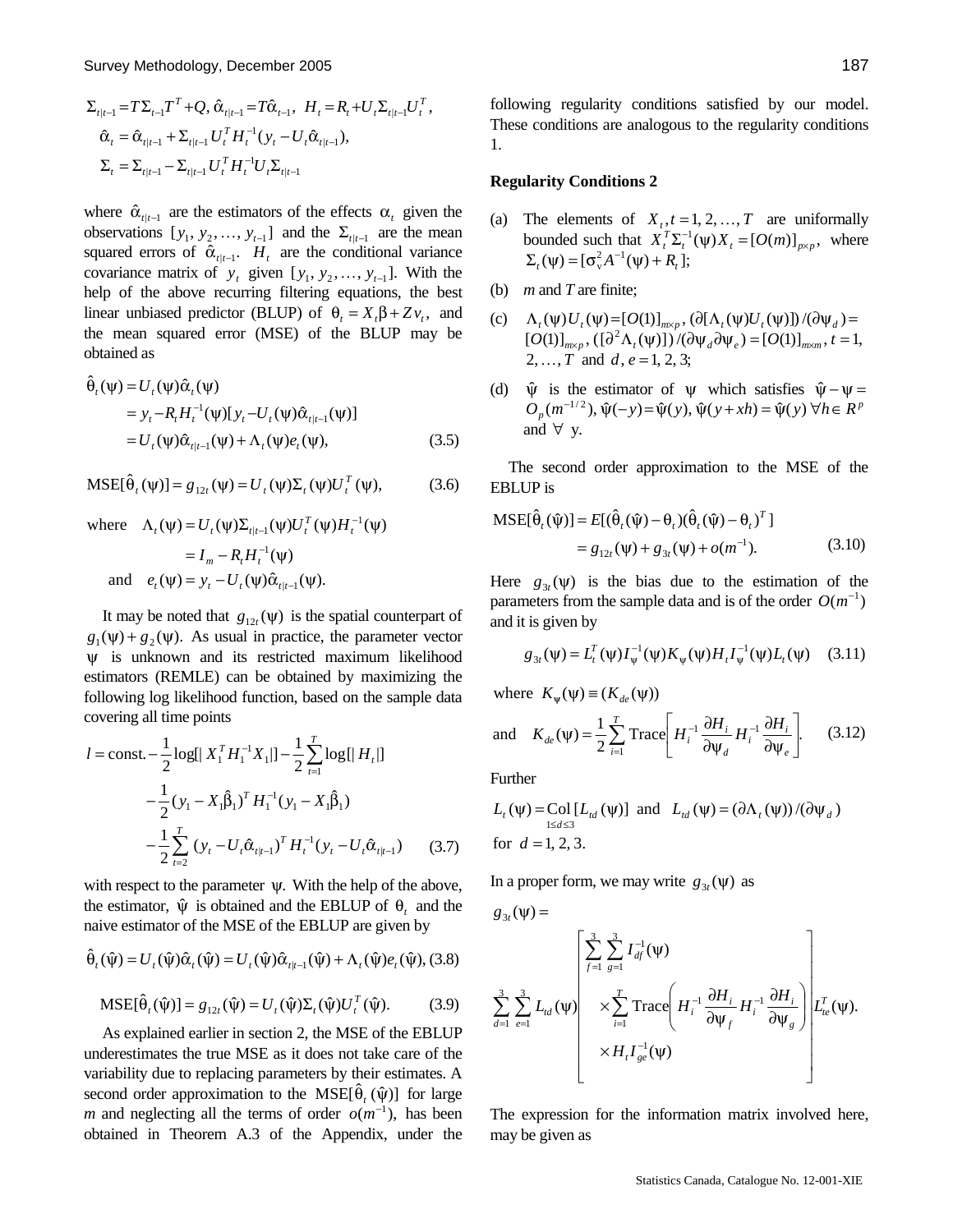$$
\Sigma_{t|t-1} = T \Sigma_{t-1} T^T + Q, \hat{\alpha}_{t|t-1} = T \hat{\alpha}_{t-1}, H_t = R_t + U_t \Sigma_{t|t-1} U_t^T,
$$
  

$$
\hat{\alpha}_t = \hat{\alpha}_{t|t-1} + \Sigma_{t|t-1} U_t^T H_t^{-1} (y_t - U_t \hat{\alpha}_{t|t-1}),
$$
  

$$
\Sigma_t = \Sigma_{t|t-1} - \Sigma_{t|t-1} U_t^T H_t^{-1} U_t \Sigma_{t|t-1}
$$

where  $\hat{\alpha}_{t|t-1}$  are the estimators of the effects  $\alpha_t$  given the observations  $[y_1, y_2, ..., y_{t-1}]$  and the  $\Sigma_{t|t-1}$  are the mean squared errors of  $\hat{\alpha}_{t|t-1}$ .  $H_t$  are the conditional variance covariance matrix of  $y_t$  given  $[y_1, y_2, \ldots, y_{t-1}]$ . With the help of the above recurring filtering equations, the best linear unbiased predictor (BLUP) of  $\theta_t = X_t \beta + Z v_t$ , and the mean squared error (MSE) of the BLUP may be obtained as

$$
\hat{\theta}_t(\psi) = U_t(\psi)\hat{\alpha}_t(\psi)
$$
\n
$$
= y_t - R_t H_t^{-1}(\psi)[y_t - U_t(\psi)\hat{\alpha}_{t|t-1}(\psi)]
$$
\n
$$
= U_t(\psi)\hat{\alpha}_{t|t-1}(\psi) + \Lambda_t(\psi)e_t(\psi), \qquad (3.5)
$$

$$
MSE[\hat{\theta}_{t}(\psi)] = g_{12t}(\psi) = U_{t}(\psi)\Sigma_{t}(\psi)U_{t}^{T}(\psi),
$$
 (3.6)

where 
$$
\Lambda_t(\psi) = U_t(\psi) \Sigma_{t|t-1}(\psi) U_t^T(\psi) H_t^{-1}(\psi)
$$

$$
= I_m - R_t H_t^{-1}(\psi)
$$
and 
$$
e_t(\psi) = y_t - U_t(\psi) \hat{\alpha}_{t|t-1}(\psi).
$$

It may be noted that  $g_{12t}(\psi)$  is the spatial counterpart of  $g_1(\psi) + g_2(\psi)$ . As usual in practice, the parameter vector ψ is unknown and its restricted maximum likelihood estimators (REMLE) can be obtained by maximizing the following log likelihood function, based on the sample data covering all time points

$$
l = \text{const.} - \frac{1}{2} \log[|X_1^T H_1^{-1} X_1|] - \frac{1}{2} \sum_{t=1}^T \log[|H_t|]
$$
  

$$
- \frac{1}{2} (y_1 - X_1 \hat{\beta}_1)^T H_1^{-1} (y_1 - X_1 \hat{\beta}_1)
$$
  

$$
- \frac{1}{2} \sum_{t=2}^T (y_t - U_t \hat{\alpha}_{t|t-1})^T H_t^{-1} (y_t - U_t \hat{\alpha}_{t|t-1}) \qquad (3.7)
$$

with respect to the parameter  $\psi$ . With the help of the above, the estimator,  $\hat{\psi}$  is obtained and the EBLUP of  $\theta_t$  and the naive estimator of the MSE of the EBLUP are given by

$$
\hat{\theta}_{t}(\hat{\psi}) = U_{t}(\hat{\psi})\hat{\alpha}_{t}(\hat{\psi}) = U_{t}(\hat{\psi})\hat{\alpha}_{t|t-1}(\hat{\psi}) + \Lambda_{t}(\hat{\psi})e_{t}(\hat{\psi}),
$$
 (3.8)

$$
\text{MSE}[\hat{\theta}_t(\hat{\psi})] = g_{12t}(\hat{\psi}) = U_t(\hat{\psi}) \Sigma_t(\hat{\psi}) U_t^T(\hat{\psi}). \tag{3.9}
$$

As explained earlier in section 2, the MSE of the EBLUP underestimates the true MSE as it does not take care of the variability due to replacing parameters by their estimates. A second order approximation to the  $MSE[\hat{\theta}_{t}(\hat{\psi})]$  for large *m* and neglecting all the terms of order  $o(m^{-1})$ , has been obtained in Theorem A.3 of the Appendix, under the following regularity conditions satisfied by our model. These conditions are analogous to the regularity conditions 1.

#### **Regularity Conditions 2**

- (a) The elements of  $X_t$ ,  $t = 1, 2, ..., T$  are uniformally bounded such that  $X_t^T \Sigma_t^{-1}(\psi) X_t = [O(m)]_{p \ p}$ , where  $\Sigma_t(\Psi) = [\sigma_v^2 A^{-1}(\Psi) + R_t];$
- (b) *m* and *T* are finite;
- (c)  $\Lambda_t(\psi)U_t(\psi) = [O(1)]_{m-p}$ ,  $(\partial[\Lambda_t(\psi)U_t(\psi)])/(\partial \psi_d) =$  $[O(1)]_{m}$ ,  $( [\partial^2 \Lambda_t(\Psi)] ) / (\partial \Psi_d \partial \Psi_e) = [O(1)]_{m}$ ,  $t = 1$ , 2, ..., *T* and *d*,  $e = 1, 2, 3$ ;
- (d)  $\hat{\psi}$  is the estimator of  $\psi$  which satisfies  $\hat{\psi} \psi =$  $O_p(m^{-1/2}), \hat{\psi}(-y) = \hat{\psi}(y), \hat{\psi}(y + xh) = \hat{\psi}(y) \,\forall h \in R^p$ and ∀ y.

The second order approximation to the MSE of the EBLUP is

$$
MSE[\hat{\theta}_{t}(\hat{\psi})] = E[(\hat{\theta}_{t}(\hat{\psi}) - \theta_{t})(\hat{\theta}_{t}(\hat{\psi}) - \theta_{t})^{T}]
$$
  
=  $g_{12t}(\psi) + g_{3t}(\psi) + o(m^{-1}).$  (3.10)

Here  $g_{3t}(\psi)$  is the bias due to the estimation of the parameters from the sample data and is of the order  $O(m^{-1})$ and it is given by

$$
g_{3t}(\psi) = L_t^T(\psi)I_{\psi}^{-1}(\psi)K_{\psi}(\psi)H_tI_{\psi}^{-1}(\psi)L_t(\psi)
$$
 (3.11)

where  $K_{\psi}(\psi) \equiv (K_{de}(\psi))$ 

and 
$$
K_{de}(\psi) = \frac{1}{2} \sum_{i=1}^{T} \text{Trace}\left[H_i^{-1} \frac{\partial H_i}{\partial \psi_d} H_i^{-1} \frac{\partial H_i}{\partial \psi_e}\right]
$$
. (3.12)

Further

$$
L_{t}(\psi) = \text{Col}[L_{td}(\psi)] \text{ and } L_{td}(\psi) = (\partial \Lambda_{t}(\psi)) / (\partial \psi_{d})
$$
  
for  $d = 1, 2, 3$ .

In a proper form, we may write  $g_{3t}(\psi)$  as

$$
\begin{aligned} g_{3t}(\psi) &= \\ \sum_{d=1}^3 \sum_{e=1}^3 L_{td}(\psi) & \sum_{i=1}^7 \text{Trace}\left(H_i^{-1} \frac{\partial H_i}{\partial \psi_f} H_i^{-1} \frac{\partial H_i}{\partial \psi_g}\right) \Bigg| L_{te}^T(\psi). \\ &\qquad \qquad H_i I_{ge}^{-1}(\psi) \end{aligned}
$$

The expression for the information matrix involved here, may be given as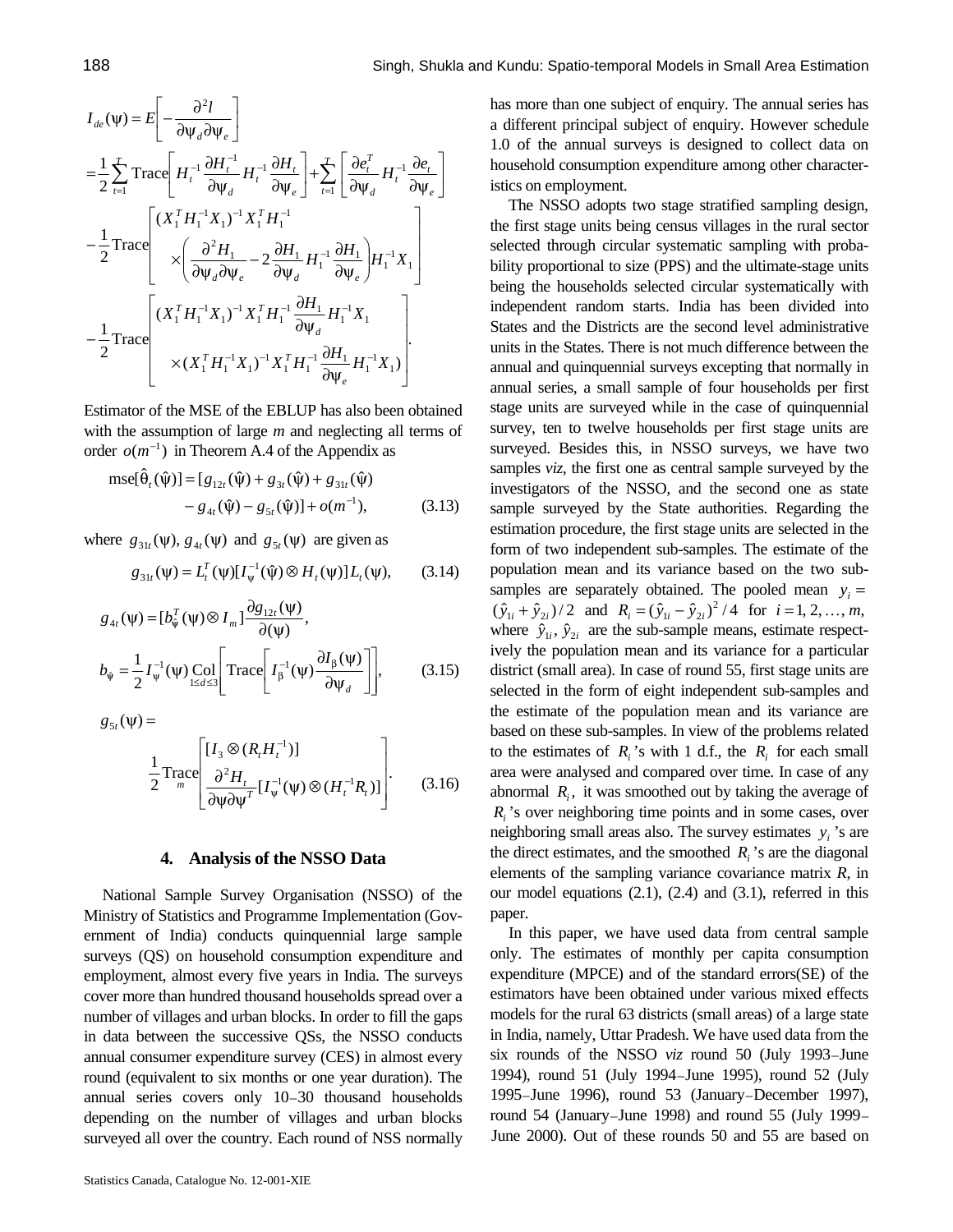$$
I_{de}(\psi) = E \left[ -\frac{\partial^2 l}{\partial \psi_d \partial \psi_e} \right]
$$
  
\n
$$
= \frac{1}{2} \sum_{t=1}^T \text{Trace} \left[ H_t^{-1} \frac{\partial H_t^{-1}}{\partial \psi_d} H_t^{-1} \frac{\partial H_t}{\partial \psi_e} \right] + \sum_{t=1}^T \left[ \frac{\partial e_t^T}{\partial \psi_d} H_t^{-1} \frac{\partial e_t}{\partial \psi_e} \right]
$$
  
\n
$$
- \frac{1}{2} \text{Trace} \left[ \frac{(X_1^T H_1^{-1} X_1)^{-1} X_1^T H_1^{-1}}{\left( \frac{\partial^2 H_1}{\partial \psi_d \partial \psi_e} - 2 \frac{\partial H_1}{\partial \psi_d} H_1^{-1} \frac{\partial H_1}{\partial \psi_e} \right) H_1^{-1} X_1} \right]
$$
  
\n
$$
- \frac{1}{2} \text{Trace} \left[ \frac{(X_1^T H_1^{-1} X_1)^{-1} X_1^T H_1^{-1} \frac{\partial H_1}{\partial \psi_d} H_1^{-1} X_1}{\frac{\partial H_1}{\partial \psi_e} H_1^{-1} X_1} \right].
$$

Estimator of the MSE of the EBLUP has also been obtained with the assumption of large *m* and neglecting all terms of order  $o(m^{-1})$  in Theorem A.4 of the Appendix as

$$
mse[\hat{\theta}_{t}(\hat{\psi})] = [g_{12t}(\hat{\psi}) + g_{3t}(\hat{\psi}) + g_{31t}(\hat{\psi}) - g_{4t}(\hat{\psi}) - g_{5t}(\hat{\psi})] + o(m^{-1}),
$$
\n(3.13)

where  $g_{31t}(\psi)$ ,  $g_{4t}(\psi)$  and  $g_{5t}(\psi)$  are given as

$$
g_{31t}(\psi) = L_t^T(\psi)[I_{\psi}^{-1}(\hat{\psi}) \otimes H_t(\psi)] L_t(\psi), \qquad (3.14)
$$

$$
g_{4t}(\psi) = [b_{\hat{\psi}}^T(\psi) \otimes I_m] \frac{\partial g_{12t}(\psi)}{\partial(\psi)},
$$
  
\n
$$
b_{\hat{\psi}} = \frac{1}{2} I_{\psi}^{-1}(\psi) \underset{1 \le d \le 3}{\text{Col}} \left[ \text{Trace} \left[ I_{\beta}^{-1}(\psi) \frac{\partial I_{\beta}(\psi)}{\partial \psi_d} \right] \right],
$$
 (3.15)

 $g_{5t}(\psi) =$ 

$$
\frac{1}{2} \text{Trace}\left[\frac{[I_3 \otimes (R_t H_t^{-1})]}{\partial^2 H_t} [I_{\psi}^{-1}(\psi) \otimes (H_t^{-1} R_t)]\right].
$$
 (3.16)

## **4. Analysis of the NSSO Data**

National Sample Survey Organisation (NSSO) of the Ministry of Statistics and Programme Implementation (Government of India) conducts quinquennial large sample surveys (QS) on household consumption expenditure and employment, almost every five years in India. The surveys cover more than hundred thousand households spread over a number of villages and urban blocks. In order to fill the gaps in data between the successive QSs, the NSSO conducts annual consumer expenditure survey (CES) in almost every round (equivalent to six months or one year duration). The annual series covers only 10–30 thousand households depending on the number of villages and urban blocks surveyed all over the country. Each round of NSS normally has more than one subject of enquiry. The annual series has a different principal subject of enquiry. However schedule 1.0 of the annual surveys is designed to collect data on household consumption expenditure among other characteristics on employment.

The NSSO adopts two stage stratified sampling design, the first stage units being census villages in the rural sector selected through circular systematic sampling with probability proportional to size (PPS) and the ultimate-stage units being the households selected circular systematically with independent random starts. India has been divided into States and the Districts are the second level administrative units in the States. There is not much difference between the annual and quinquennial surveys excepting that normally in annual series, a small sample of four households per first stage units are surveyed while in the case of quinquennial survey, ten to twelve households per first stage units are surveyed. Besides this, in NSSO surveys, we have two samples *viz*, the first one as central sample surveyed by the investigators of the NSSO, and the second one as state sample surveyed by the State authorities. Regarding the estimation procedure, the first stage units are selected in the form of two independent sub-samples. The estimate of the population mean and its variance based on the two subsamples are separately obtained. The pooled mean  $y_i =$  $(\hat{y}_{1i} + \hat{y}_{2i})/2$  and  $R_i = (\hat{y}_{1i} - \hat{y}_{2i})^2/4$  for  $i = 1, 2, ..., m$ , where  $\hat{y}_{1i}$ ,  $\hat{y}_{2i}$  are the sub-sample means, estimate respectively the population mean and its variance for a particular district (small area). In case of round 55, first stage units are selected in the form of eight independent sub-samples and the estimate of the population mean and its variance are based on these sub-samples. In view of the problems related to the estimates of  $R_i$ 's with 1 d.f., the  $R_i$  for each small area were analysed and compared over time. In case of any abnormal  $R_i$ , it was smoothed out by taking the average of  $R_i$ 's over neighboring time points and in some cases, over neighboring small areas also. The survey estimates  $y_i$ 's are the direct estimates, and the smoothed  $R_i$ 's are the diagonal elements of the sampling variance covariance matrix *R*, in our model equations (2.1), (2.4) and (3.1), referred in this paper.

In this paper, we have used data from central sample only. The estimates of monthly per capita consumption expenditure (MPCE) and of the standard errors(SE) of the estimators have been obtained under various mixed effects models for the rural 63 districts (small areas) of a large state in India, namely, Uttar Pradesh. We have used data from the six rounds of the NSSO *viz* round 50 (July 1993–June 1994), round 51 (July 1994–June 1995), round 52 (July 1995–June 1996), round 53 (January–December 1997), round 54 (January–June 1998) and round 55 (July 1999– June 2000). Out of these rounds 50 and 55 are based on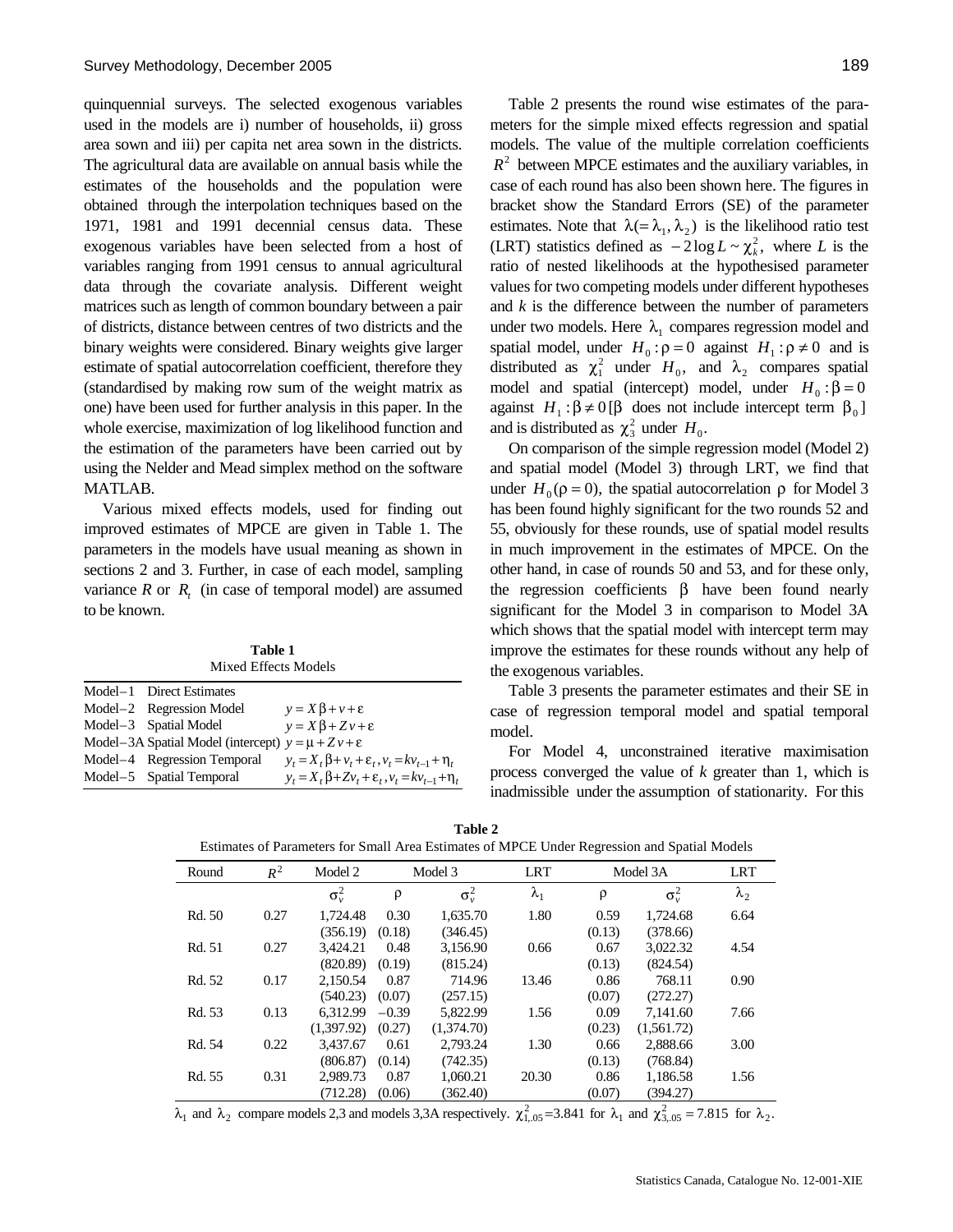quinquennial surveys. The selected exogenous variables used in the models are i) number of households, ii) gross area sown and iii) per capita net area sown in the districts. The agricultural data are available on annual basis while the estimates of the households and the population were obtained through the interpolation techniques based on the 1971, 1981 and 1991 decennial census data. These exogenous variables have been selected from a host of variables ranging from 1991 census to annual agricultural data through the covariate analysis. Different weight matrices such as length of common boundary between a pair of districts, distance between centres of two districts and the binary weights were considered. Binary weights give larger estimate of spatial autocorrelation coefficient, therefore they (standardised by making row sum of the weight matrix as one) have been used for further analysis in this paper. In the whole exercise, maximization of log likelihood function and the estimation of the parameters have been carried out by using the Nelder and Mead simplex method on the software MATLAB.

Various mixed effects models, used for finding out improved estimates of MPCE are given in Table 1. The parameters in the models have usual meaning as shown in sections 2 and 3. Further, in case of each model, sampling variance  $R$  or  $R$ <sup>t</sup> (in case of temporal model) are assumed to be known.

**Table 1** Mixed Effects Models

| Model-1 Direct Estimates                                   |                                                                      |
|------------------------------------------------------------|----------------------------------------------------------------------|
| Model-2 Regression Model                                   | $y = X\beta + v + \varepsilon$                                       |
| Model-3 Spatial Model                                      | $y = X\beta + Zv + \varepsilon$                                      |
| Model–3A Spatial Model (intercept) $y = +Zv + \varepsilon$ |                                                                      |
| Model-4 Regression Temporal                                | $v_t = X_t \beta + v_t + \varepsilon_t$ , $v_t = kv_{t-1} + \eta_t$  |
| Model-5 Spatial Temporal                                   | $v_t = X_t \beta + Zv_t + \varepsilon_t$ , $v_t = kv_{t-1} + \eta_t$ |

Table 2 presents the round wise estimates of the parameters for the simple mixed effects regression and spatial models. The value of the multiple correlation coefficients  $R<sup>2</sup>$  between MPCE estimates and the auxiliary variables, in case of each round has also been shown here. The figures in bracket show the Standard Errors (SE) of the parameter estimates. Note that  $\lambda (= \lambda_1, \lambda_2)$  is the likelihood ratio test (LRT) statistics defined as  $-2\log L \sim \chi_k^2$ , where *L* is the ratio of nested likelihoods at the hypothesised parameter values for two competing models under different hypotheses and *k* is the difference between the number of parameters under two models. Here  $\lambda_1$  compares regression model and spatial model, under  $H_0: \rho = 0$  against  $H_1: \rho \neq 0$  and is distributed as  $\chi_1^2$  under  $H_0$ , and  $\lambda_2$  compares spatial model and spatial (intercept) model, under  $H_0: \beta = 0$ against  $H_1: \beta \neq 0$  [ $\beta$  does not include intercept term  $\beta_0$ ] and is distributed as  $\chi^2$  under  $H_0$ .

On comparison of the simple regression model (Model 2) and spatial model (Model 3) through LRT, we find that under  $H_0(\rho = 0)$ , the spatial autocorrelation  $\rho$  for Model 3 has been found highly significant for the two rounds 52 and 55, obviously for these rounds, use of spatial model results in much improvement in the estimates of MPCE. On the other hand, in case of rounds 50 and 53, and for these only, the regression coefficients  $β$  have been found nearly significant for the Model 3 in comparison to Model 3A which shows that the spatial model with intercept term may improve the estimates for these rounds without any help of the exogenous variables.

Table 3 presents the parameter estimates and their SE in case of regression temporal model and spatial temporal model.

For Model 4, unconstrained iterative maximisation process converged the value of *k* greater than 1, which is inadmissible under the assumption of stationarity. For this

| Table 2 |  |
|---------|--|
|---------|--|

| Round  | $R^2$ | Model 2      | Model 3 |              | <b>LRT</b>  | Model 3A |              | <b>LRT</b>  |
|--------|-------|--------------|---------|--------------|-------------|----------|--------------|-------------|
|        |       | $\sigma_v^2$ | ρ       | $\sigma_v^2$ | $\lambda_1$ | $\rho$   | $\sigma_v^2$ | $\lambda_2$ |
| Rd. 50 | 0.27  | 1,724.48     | 0.30    | 1,635.70     | 1.80        | 0.59     | 1,724.68     | 6.64        |
|        |       | (356.19)     | (0.18)  | (346.45)     |             | (0.13)   | (378.66)     |             |
| Rd. 51 | 0.27  | 3.424.21     | 0.48    | 3,156.90     | 0.66        | 0.67     | 3,022.32     | 4.54        |
|        |       | (820.89)     | (0.19)  | (815.24)     |             | (0.13)   | (824.54)     |             |
| Rd. 52 | 0.17  | 2,150.54     | 0.87    | 714.96       | 13.46       | 0.86     | 768.11       | 0.90        |
|        |       | (540.23)     | (0.07)  | (257.15)     |             | (0.07)   | (272.27)     |             |
| Rd. 53 | 0.13  | 6.312.99     | $-0.39$ | 5.822.99     | 1.56        | 0.09     | 7.141.60     | 7.66        |
|        |       | (1.397.92)   | (0.27)  | (1,374,70)   |             | (0.23)   | (1,561.72)   |             |
| Rd. 54 | 0.22  | 3.437.67     | 0.61    | 2.793.24     | 1.30        | 0.66     | 2,888.66     | 3.00        |
|        |       | (806.87)     | (0.14)  | (742.35)     |             | (0.13)   | (768.84)     |             |
| Rd. 55 | 0.31  | 2.989.73     | 0.87    | 1.060.21     | 20.30       | 0.86     | 1.186.58     | 1.56        |
|        |       | (712.28)     | (0.06)  | (362.40)     |             | (0.07)   | (394.27)     |             |

Estimates of Parameters for Small Area Estimates of MPCE Under Regression and Spatial Models

 $λ_1$  and  $λ_2$  compare models 2,3 and models 3,3A respectively.  $χ_{1,05}^2$ =3.841 for  $λ_1$  and  $χ_{3,05}^2$  = 7.815 for  $λ_2$ .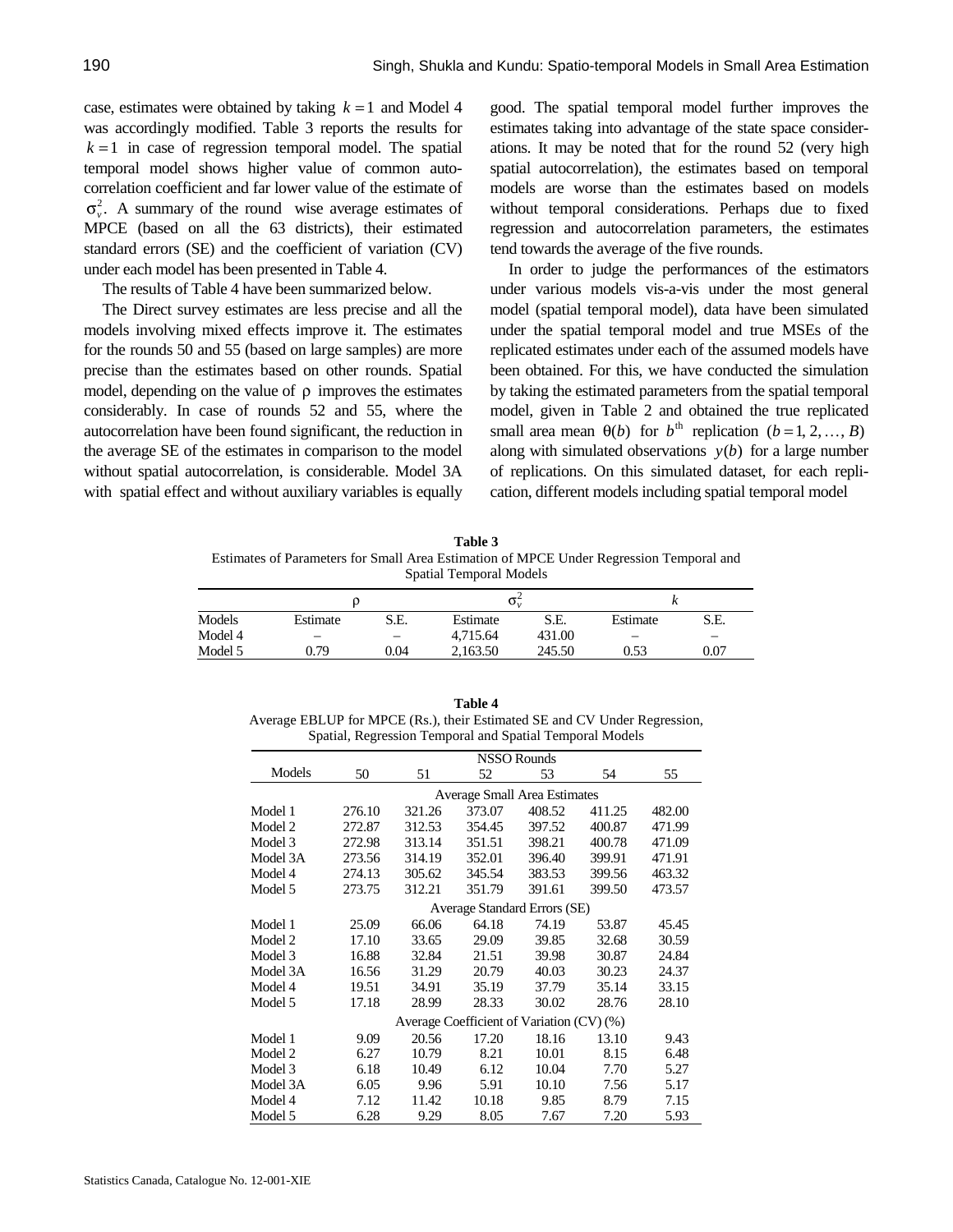case, estimates were obtained by taking  $k = 1$  and Model 4 was accordingly modified. Table 3 reports the results for  $k = 1$  in case of regression temporal model. The spatial temporal model shows higher value of common autocorrelation coefficient and far lower value of the estimate of  $\sigma_v^2$ . A summary of the round wise average estimates of MPCE (based on all the 63 districts), their estimated standard errors (SE) and the coefficient of variation (CV) under each model has been presented in Table 4.

The results of Table 4 have been summarized below.

The Direct survey estimates are less precise and all the models involving mixed effects improve it. The estimates for the rounds 50 and 55 (based on large samples) are more precise than the estimates based on other rounds. Spatial model, depending on the value of  $\rho$  improves the estimates considerably. In case of rounds 52 and 55, where the autocorrelation have been found significant, the reduction in the average SE of the estimates in comparison to the model without spatial autocorrelation, is considerable. Model 3A with spatial effect and without auxiliary variables is equally good. The spatial temporal model further improves the estimates taking into advantage of the state space considerations. It may be noted that for the round 52 (very high spatial autocorrelation), the estimates based on temporal models are worse than the estimates based on models without temporal considerations. Perhaps due to fixed regression and autocorrelation parameters, the estimates tend towards the average of the five rounds.

In order to judge the performances of the estimators under various models vis-a-vis under the most general model (spatial temporal model), data have been simulated under the spatial temporal model and true MSEs of the replicated estimates under each of the assumed models have been obtained. For this, we have conducted the simulation by taking the estimated parameters from the spatial temporal model, given in Table 2 and obtained the true replicated small area mean  $\theta(b)$  for  $b^{\text{th}}$  replication ( $b = 1, 2, ..., B$ ) along with simulated observations  $y(b)$  for a large number of replications. On this simulated dataset, for each replication, different models including spatial temporal model

**Table 3** Estimates of Parameters for Small Area Estimation of MPCE Under Regression Temporal and Spatial Temporal Models

| Models  | Estimate | S.E. | Estimate | S.E.   | Estimate | S.E. |
|---------|----------|------|----------|--------|----------|------|
| Model 4 |          |      | 4,715.64 | 431.00 |          |      |
| Model 5 | 0.79     | 0.04 | 2.163.50 | 245.50 | 0.53     | 0.07 |
|         |          |      |          |        |          |      |

| Table 4                                                                   |
|---------------------------------------------------------------------------|
| Average EBLUP for MPCE (Rs.), their Estimated SE and CV Under Regression, |
| Spatial, Regression Temporal and Spatial Temporal Models                  |

|          | NSSO Rounds                               |                              |        |        |        |        |  |  |
|----------|-------------------------------------------|------------------------------|--------|--------|--------|--------|--|--|
| Models   | 50                                        | 51                           | 52     | 53     | 54     | 55     |  |  |
|          | <b>Average Small Area Estimates</b>       |                              |        |        |        |        |  |  |
| Model 1  | 276.10                                    | 321.26                       | 373.07 | 408.52 | 411.25 | 482.00 |  |  |
| Model 2  | 272.87                                    | 312.53                       | 354.45 | 397.52 | 400.87 | 471.99 |  |  |
| Model 3  | 272.98                                    | 313.14                       | 351.51 | 398.21 | 400.78 | 471.09 |  |  |
| Model 3A | 273.56                                    | 314.19                       | 352.01 | 396.40 | 399.91 | 471.91 |  |  |
| Model 4  | 274.13                                    | 305.62                       | 345.54 | 383.53 | 399.56 | 463.32 |  |  |
| Model 5  | 273.75                                    | 312.21                       | 351.79 | 391.61 | 399.50 | 473.57 |  |  |
|          |                                           | Average Standard Errors (SE) |        |        |        |        |  |  |
| Model 1  | 25.09                                     | 66.06                        | 64.18  | 74.19  | 53.87  | 45.45  |  |  |
| Model 2  | 17.10                                     | 33.65                        | 29.09  | 39.85  | 32.68  | 30.59  |  |  |
| Model 3  | 16.88                                     | 32.84                        | 21.51  | 39.98  | 30.87  | 24.84  |  |  |
| Model 3A | 16.56                                     | 31.29                        | 20.79  | 40.03  | 30.23  | 24.37  |  |  |
| Model 4  | 19.51                                     | 34.91                        | 35.19  | 37.79  | 35.14  | 33.15  |  |  |
| Model 5  | 17.18                                     | 28.99                        | 28.33  | 30.02  | 28.76  | 28.10  |  |  |
|          | Average Coefficient of Variation (CV) (%) |                              |        |        |        |        |  |  |
| Model 1  | 9.09                                      | 20.56                        | 17.20  | 18.16  | 13.10  | 9.43   |  |  |
| Model 2  | 6.27                                      | 10.79                        | 8.21   | 10.01  | 8.15   | 6.48   |  |  |
| Model 3  | 6.18                                      | 10.49                        | 6.12   | 10.04  | 7.70   | 5.27   |  |  |
| Model 3A | 6.05                                      | 9.96                         | 5.91   | 10.10  | 7.56   | 5.17   |  |  |
| Model 4  | 7.12                                      | 11.42                        | 10.18  | 9.85   | 8.79   | 7.15   |  |  |
| Model 5  | 6.28                                      | 9.29                         | 8.05   | 7.67   | 7.20   | 5.93   |  |  |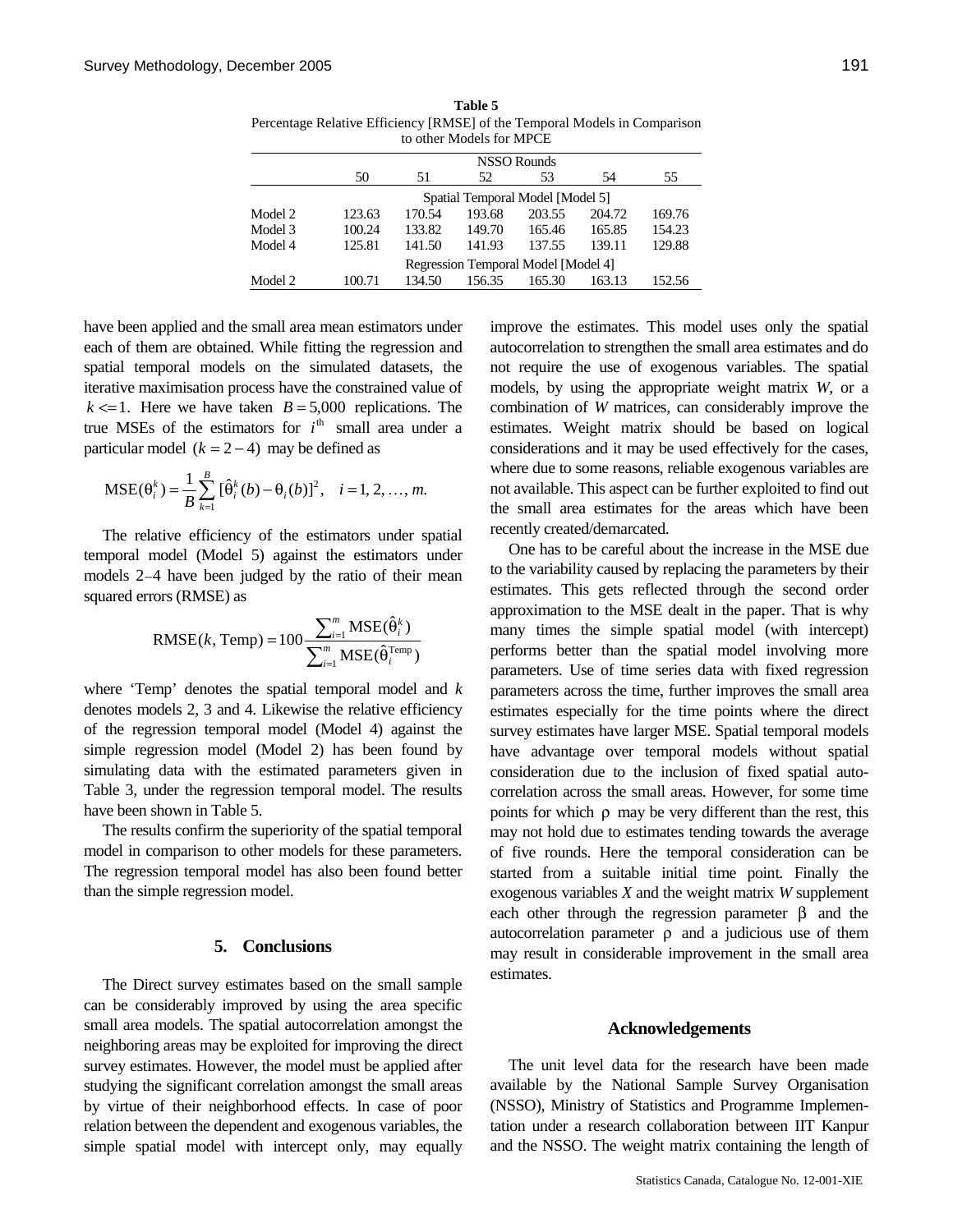| to other Models for MPCE |                                     |        |        |        |        |        |  |  |
|--------------------------|-------------------------------------|--------|--------|--------|--------|--------|--|--|
|                          | <b>NSSO Rounds</b>                  |        |        |        |        |        |  |  |
|                          | 50                                  | 51     | 52     | 53     | 54     | 55     |  |  |
|                          | Spatial Temporal Model [Model 5]    |        |        |        |        |        |  |  |
| Model 2                  | 123.63                              | 170.54 | 193.68 | 203.55 | 204.72 | 169.76 |  |  |
| Model 3                  | 100.24                              | 133.82 | 149.70 | 165.46 | 165.85 | 154.23 |  |  |
| Model 4                  | 125.81                              | 141.50 | 141.93 | 137.55 | 139.11 | 129.88 |  |  |
|                          | Regression Temporal Model [Model 4] |        |        |        |        |        |  |  |
| Model 2                  | 100.71                              | 134.50 | 156.35 | 165.30 | 163.13 | 152.56 |  |  |

**Table 5** Percentage Relative Efficiency [RMSE] of the Temporal Models in Comparison

have been applied and the small area mean estimators under each of them are obtained. While fitting the regression and spatial temporal models on the simulated datasets, the iterative maximisation process have the constrained value of  $k \leq 1$ . Here we have taken  $B = 5,000$  replications. The true MSEs of the estimators for  $i<sup>th</sup>$  small area under a particular model  $(k = 2 - 4)$  may be defined as

$$
MSE(\theta_i^k) = \frac{1}{B} \sum_{k=1}^{B} [\hat{\theta}_i^k(b) - \theta_i(b)]^2, \quad i = 1, 2, ..., m.
$$

The relative efficiency of the estimators under spatial temporal model (Model 5) against the estimators under models 2–4 have been judged by the ratio of their mean squared errors (RMSE) as

RMSE(k, Temp) = 
$$
100 \frac{\sum_{i=1}^{m} \text{MSE}(\hat{\theta}_{i}^{k})}{\sum_{i=1}^{m} \text{MSE}(\hat{\theta}_{i}^{\text{Temp}})}
$$

where 'Temp' denotes the spatial temporal model and *k* denotes models 2, 3 and 4. Likewise the relative efficiency of the regression temporal model (Model 4) against the simple regression model (Model 2) has been found by simulating data with the estimated parameters given in Table 3, under the regression temporal model. The results have been shown in Table 5.

The results confirm the superiority of the spatial temporal model in comparison to other models for these parameters. The regression temporal model has also been found better than the simple regression model.

#### **5. Conclusions**

The Direct survey estimates based on the small sample can be considerably improved by using the area specific small area models. The spatial autocorrelation amongst the neighboring areas may be exploited for improving the direct survey estimates. However, the model must be applied after studying the significant correlation amongst the small areas by virtue of their neighborhood effects. In case of poor relation between the dependent and exogenous variables, the simple spatial model with intercept only, may equally improve the estimates. This model uses only the spatial autocorrelation to strengthen the small area estimates and do not require the use of exogenous variables. The spatial models, by using the appropriate weight matrix *W*, or a combination of *W* matrices, can considerably improve the estimates. Weight matrix should be based on logical considerations and it may be used effectively for the cases, where due to some reasons, reliable exogenous variables are not available. This aspect can be further exploited to find out the small area estimates for the areas which have been recently created/demarcated.

One has to be careful about the increase in the MSE due to the variability caused by replacing the parameters by their estimates. This gets reflected through the second order approximation to the MSE dealt in the paper. That is why many times the simple spatial model (with intercept) performs better than the spatial model involving more parameters. Use of time series data with fixed regression parameters across the time, further improves the small area estimates especially for the time points where the direct survey estimates have larger MSE. Spatial temporal models have advantage over temporal models without spatial consideration due to the inclusion of fixed spatial autocorrelation across the small areas. However, for some time points for which  $\rho$  may be very different than the rest, this may not hold due to estimates tending towards the average of five rounds. Here the temporal consideration can be started from a suitable initial time point. Finally the exogenous variables *X* and the weight matrix *W* supplement each other through the regression parameter  $\beta$  and the autocorrelation parameter  $ρ$  and a judicious use of them may result in considerable improvement in the small area estimates.

#### **Acknowledgements**

The unit level data for the research have been made available by the National Sample Survey Organisation (NSSO), Ministry of Statistics and Programme Implementation under a research collaboration between IIT Kanpur and the NSSO. The weight matrix containing the length of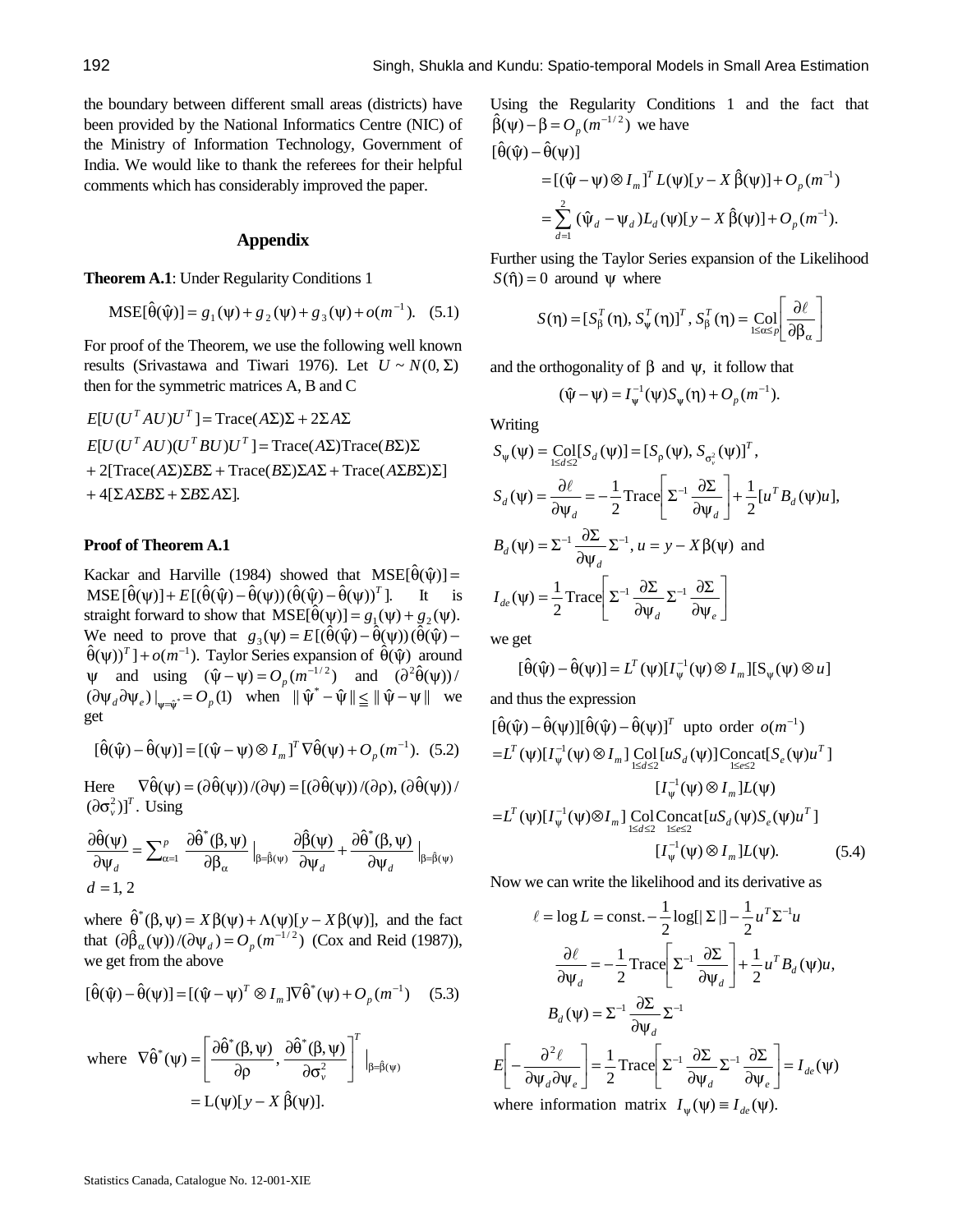the boundary between different small areas (districts) have been provided by the National Informatics Centre (NIC) of the Ministry of Information Technology, Government of India. We would like to thank the referees for their helpful comments which has considerably improved the paper.

# **Appendix**

**Theorem A.1**: Under Regularity Conditions 1

$$
MSE[\hat{\theta}(\hat{\psi})] = g_1(\psi) + g_2(\psi) + g_3(\psi) + o(m^{-1}).
$$
 (5.1)

For proof of the Theorem, we use the following well known results (Srivastawa and Tiwari 1976). Let  $U \sim N(0, \Sigma)$ then for the symmetric matrices A, B and C

$$
E[U(UT AU)UT] = Trace(A\Sigma)\Sigma + 2\Sigma A\Sigma
$$
  
\n
$$
E[U(UT AU)(UT BU)UT] = Trace(A\Sigma)Trace(B\Sigma)\Sigma
$$
  
\n+ 2[Trace(A\Sigma)\Sigma B\Sigma + Trace(B\Sigma)\Sigma A\Sigma + Trace(A\Sigma B\Sigma)\Sigma]  
\n+ 4[\Sigma A\Sigma B\Sigma + \Sigma B\Sigma A\Sigma].

#### **Proof of Theorem A.1**

Kackar and Harville (1984) showed that  $MSE[\hat{\theta}(\hat{\psi})] =$  $MSE[\hat{\theta}(\psi)] + E[(\hat{\theta}(\hat{\psi}) - \hat{\theta}(\psi))(\hat{\theta}(\hat{\psi}) - \hat{\theta}(\psi))^T]$ . It is straight forward to show that  $MSE[\hat{\theta}(\psi)] = g_1(\psi) + g_2(\psi)$ . We need to prove that  $g_3(\psi) = E[(\hat{\theta}(\hat{\psi}) - \hat{\theta}(\psi))(\hat{\theta}(\hat{\psi}) - \hat{\theta}(\hat{\psi}))$  $(\hat{\theta}(\psi))^T$  ] +  $o(m^{-1})$ . Taylor Series expansion of  $\hat{\theta}(\hat{\psi})$  around  $\psi$  and using  $(\hat{\psi} - \psi) = O_p(m^{-1/2})$  and  $(\partial^2 \hat{\theta}(\psi))$  $(\partial \psi_d \partial \psi_e)|_{\psi = \psi^*} = O_p(1)$  when  $\|\hat{\psi}^* - \hat{\psi}\| \le \|\hat{\psi} - \psi\|$  we get

$$
[\hat{\theta}(\hat{\psi}) - \hat{\theta}(\psi)] = [(\hat{\psi} - \psi) \otimes I_m]^T \nabla \hat{\theta}(\psi) + O_p(m^{-1}).
$$
 (5.2)

Here  $\nabla \hat{\theta}(\psi) = (\partial \hat{\theta}(\psi)) / (\partial \psi) = [(\partial \hat{\theta}(\psi)) / (\partial \rho), (\partial \hat{\theta}(\psi)) / (\partial \phi)]$  $(\partial \sigma_v^2)$ <sup>T</sup>. Using

$$
\frac{\partial \hat{\theta}(\psi)}{\partial \psi_d} = \sum_{\alpha=1}^p \frac{\partial \hat{\theta}^*(\beta, \psi)}{\partial \beta_\alpha} \bigg|_{\beta = \hat{\beta}(\psi)} \frac{\partial \hat{\beta}(\psi)}{\partial \psi_d} + \frac{\partial \hat{\theta}^*(\beta, \psi)}{\partial \psi_d} \bigg|_{\beta = \hat{\beta}(\psi)}
$$
  

$$
d = 1, 2
$$

where  $\hat{\theta}^*(\beta, \psi) = X \beta(\psi) + \Lambda(\psi)[y - X \beta(\psi)],$  and the fact that  $\left(\frac{\partial \hat{\beta}_{\alpha}(\psi)}{\partial \psi_d}\right) = O_p(m^{-1/2})$  (Cox and Reid (1987)), we get from the above

$$
[\hat{\theta}(\hat{\psi}) - \hat{\theta}(\psi)] = [(\hat{\psi} - \psi)^T \otimes I_m] \nabla \hat{\theta}^*(\psi) + O_p(m^{-1}) \quad (5.3)
$$

where 
$$
\nabla \hat{\theta}^*(\psi) = \left[\frac{\partial \hat{\theta}^*(\beta, \psi)}{\partial \rho}, \frac{\partial \hat{\theta}^*(\beta, \psi)}{\partial \sigma_v^2}\right]^T \Big|_{\beta = \hat{\beta}(\psi)} = L(\psi)[y - X \hat{\beta}(\psi)].
$$

Using the Regularity Conditions 1 and the fact that  $\hat{\beta}(\psi) - \beta = O_p(m^{-1/2})$  we have

$$
\begin{aligned} [\hat{\theta}(\hat{\psi}) - \hat{\theta}(\psi)] \\ &= [(\hat{\psi} - \psi) \otimes I_m]^T L(\psi)[y - X \hat{\beta}(\psi)] + O_p(m^{-1}) \\ &= \sum_{d=1}^2 (\hat{\psi}_d - \psi_d) L_d(\psi)[y - X \hat{\beta}(\psi)] + O_p(m^{-1}). \end{aligned}
$$

Further using the Taylor Series expansion of the Likelihood  $S(\hat{\eta}) = 0$  around  $\psi$  where

$$
S(\eta) = [S_{\beta}^{T}(\eta), S_{\psi}^{T}(\eta)]^{T}, S_{\beta}^{T}(\eta) = \text{Col}_{1 \leq \alpha \leq p} \left[ \frac{\partial \ell}{\partial \beta_{\alpha}} \right]
$$

and the orthogonality of  $\beta$  and  $\psi$ , it follow that

$$
(\hat{\psi} - \psi) = I_{\psi}^{-1}(\psi) S_{\psi}(\eta) + O_p(m^{-1}).
$$

Writing

$$
S_{\psi}(\psi) = \text{Col}[S_{d}(\psi)] = [S_{\rho}(\psi), S_{\sigma_{\nu}^{2}}(\psi)]^{T},
$$
  
\n
$$
S_{d}(\psi) = \frac{\partial \ell}{\partial \psi_{d}} = -\frac{1}{2} \text{Trace}\left[\Sigma^{-1} \frac{\partial \Sigma}{\partial \psi_{d}}\right] + \frac{1}{2} [u^{T} B_{d}(\psi)u],
$$
  
\n
$$
B_{d}(\psi) = \Sigma^{-1} \frac{\partial \Sigma}{\partial \psi_{d}} \Sigma^{-1}, u = y - X \beta(\psi) \text{ and}
$$
  
\n
$$
I_{de}(\psi) = \frac{1}{2} \text{Trace}\left[\Sigma^{-1} \frac{\partial \Sigma}{\partial \psi_{d}} \Sigma^{-1} \frac{\partial \Sigma}{\partial \psi_{e}}\right]
$$

we get

$$
[\hat{\theta}(\hat{\psi}) - \hat{\theta}(\psi)] = L^T(\psi)[I_{\psi}^{-1}(\psi) \otimes I_{m}][S_{\psi}(\psi) \otimes u]
$$

and thus the expression

$$
[\hat{\theta}(\hat{\psi}) - \hat{\theta}(\psi)][\hat{\theta}(\hat{\psi}) - \hat{\theta}(\psi)]^T \text{ upto order } o(m^{-1})
$$
  
\n
$$
= L^T (\psi)[I_{\psi}^{-1}(\psi) \otimes I_m] \text{Col} [uS_d(\psi)] \text{Concat}[S_e(\psi)u^T]
$$
  
\n
$$
[I_{\psi}^{-1}(\psi) \otimes I_m] L(\psi)
$$
  
\n
$$
= L^T (\psi)[I_{\psi}^{-1}(\psi) \otimes I_m] \text{Col} \text{Concat}[uS_d(\psi)S_e(\psi)u^T]
$$
  
\n
$$
[I_{\psi}^{-1}(\psi) \otimes I_m] L(\psi).
$$
 (5.4)

Now we can write the likelihood and its derivative as

$$
\ell = \log L = \text{const.} - \frac{1}{2} \log[|\Sigma|] - \frac{1}{2} u^T \Sigma^{-1} u
$$

$$
\frac{\partial \ell}{\partial \psi_d} = -\frac{1}{2} \text{Trace} \left[ \Sigma^{-1} \frac{\partial \Sigma}{\partial \psi_d} \right] + \frac{1}{2} u^T B_d(\psi) u,
$$

$$
B_d(\psi) = \Sigma^{-1} \frac{\partial \Sigma}{\partial \psi_d} \Sigma^{-1}
$$

$$
E \left[ -\frac{\partial^2 \ell}{\partial \psi_d \partial \psi_e} \right] = \frac{1}{2} \text{Trace} \left[ \Sigma^{-1} \frac{\partial \Sigma}{\partial \psi_d} \Sigma^{-1} \frac{\partial \Sigma}{\partial \psi_e} \right] = I_{de}(\psi)
$$
where information matrix  $I_{\psi}(\psi) \equiv I_{de}(\psi)$ .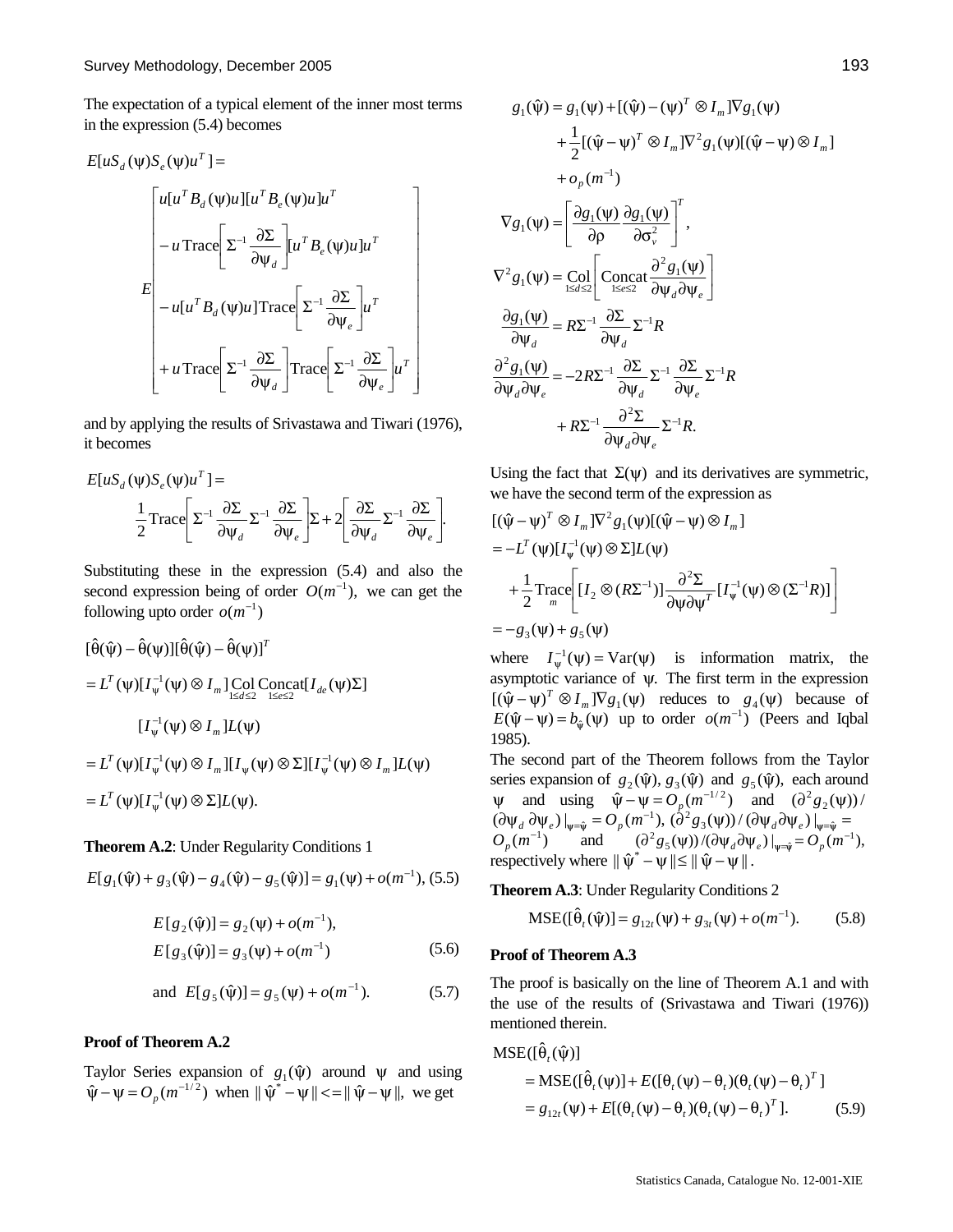The expectation of a typical element of the inner most terms in the expression (5.4) becomes

$$
E[uS_{d}(\psi)S_{e}(\psi)u^{T}] =
$$
\n
$$
\begin{bmatrix}\nu[u^{T}B_{d}(\psi)u][u^{T}B_{e}(\psi)u]u^{T} \\ -u\text{Trace}\Big[\Sigma^{-1}\frac{\partial\Sigma}{\partial\Psi_{d}}\Big] [u^{T}B_{e}(\psi)u]u^{T} \\ -u[u^{T}B_{d}(\psi)u]\text{Trace}\Big[\Sigma^{-1}\frac{\partial\Sigma}{\partial\Psi_{e}}\Big] u^{T} \\ +u\text{Trace}\Big[\Sigma^{-1}\frac{\partial\Sigma}{\partial\Psi_{d}}\Big]\text{Trace}\Big[\Sigma^{-1}\frac{\partial\Sigma}{\partial\Psi_{e}}\Big] u^{T}\end{bmatrix}
$$

and by applying the results of Srivastawa and Tiwari (1976), it becomes

$$
E[uS_d(\psi)S_e(\psi)u^T] =
$$
  

$$
\frac{1}{2}\text{Trace}\left[\Sigma^{-1}\frac{\partial\Sigma}{\partial\psi_d}\Sigma^{-1}\frac{\partial\Sigma}{\partial\psi_e}\right]\Sigma + 2\left[\frac{\partial\Sigma}{\partial\psi_d}\Sigma^{-1}\frac{\partial\Sigma}{\partial\psi_e}\right].
$$

Substituting these in the expression (5.4) and also the second expression being of order  $O(m^{-1})$ , we can get the following upto order  $o(m^{-1})$ 

$$
[\hat{\theta}(\hat{\psi}) - \hat{\theta}(\psi)][\hat{\theta}(\hat{\psi}) - \hat{\theta}(\psi)]^T
$$
  
\n
$$
= L^T (\psi)[I_{\psi}^{-1}(\psi) \otimes I_m] \text{Col Concat}[I_{de}(\psi)\Sigma]
$$
  
\n
$$
[I_{\psi}^{-1}(\psi) \otimes I_m]L(\psi)
$$
  
\n
$$
= L^T (\psi)[I_{\psi}^{-1}(\psi) \otimes I_m][I_{\psi}(\psi) \otimes \Sigma][I_{\psi}^{-1}(\psi) \otimes I_m]L(\psi)
$$
  
\n
$$
= L^T (\psi)[I_{\psi}^{-1}(\psi) \otimes \Sigma]L(\psi).
$$

### **Theorem A.2**: Under Regularity Conditions 1

$$
E[g_1(\hat{\psi}) + g_3(\hat{\psi}) - g_4(\hat{\psi}) - g_5(\hat{\psi})] = g_1(\psi) + o(m^{-1}), (5.5)
$$

$$
E[g_2(\hat{\psi})] = g_2(\psi) + o(m^{-1}),
$$
  
\n
$$
E[g_3(\hat{\psi})] = g_3(\psi) + o(m^{-1})
$$
\n(5.6)

and 
$$
E[g_5(\hat{\psi})] = g_5(\psi) + o(m^{-1}).
$$
 (5.7)

# **Proof of Theorem A.2**

Taylor Series expansion of  $g_1(\hat{\psi})$  around  $\psi$  and using  $\hat{\psi} - \psi = O_p(m^{-1/2})$  when  $\|\hat{\psi}^* - \psi\| < |\hat{\psi} - \psi|$ , we get

$$
g_1(\hat{\psi}) = g_1(\psi) + [(\hat{\psi}) - (\psi)^T \otimes I_m] \nabla g_1(\psi)
$$
  
+ 
$$
\frac{1}{2} [(\hat{\psi} - \psi)^T \otimes I_m] \nabla^2 g_1(\psi) [(\hat{\psi} - \psi) \otimes I_m]
$$
  
+ 
$$
\sigma_p(m^{-1})
$$
  

$$
\nabla g_1(\psi) = \left[ \frac{\partial g_1(\psi)}{\partial \rho} \frac{\partial g_1(\psi)}{\partial \sigma_v^2} \right]^T,
$$
  

$$
\nabla^2 g_1(\psi) = \text{Col} \left[ \text{Concat} \frac{\partial^2 g_1(\psi)}{\partial \psi_d \partial \psi_e} \right]
$$
  

$$
\frac{\partial g_1(\psi)}{\partial \psi_d} = R\Sigma^{-1} \frac{\partial \Sigma}{\partial \psi_d} \Sigma^{-1} R
$$
  

$$
\frac{\partial^2 g_1(\psi)}{\partial \psi_d \partial \psi_e} = -2R\Sigma^{-1} \frac{\partial \Sigma}{\partial \psi_d} \Sigma^{-1} \frac{\partial \Sigma}{\partial \psi_e} \Sigma^{-1} R
$$
  
+ 
$$
R\Sigma^{-1} \frac{\partial^2 \Sigma}{\partial \psi_d \partial \psi_e} \Sigma^{-1} R.
$$

Using the fact that  $\Sigma(\psi)$  and its derivatives are symmetric, we have the second term of the expression as

$$
\begin{aligned} & [(\hat{\psi} - \psi)^T \otimes I_m] \nabla^2 g_1(\psi) [(\hat{\psi} - \psi) \otimes I_m] \\ & = -L^T(\psi) [I_{\psi}^{-1}(\psi) \otimes \Sigma] L(\psi) \\ & + \frac{1}{2} \text{Trace} \bigg[ [I_2 \otimes (R\Sigma^{-1})] \frac{\partial^2 \Sigma}{\partial \psi \partial \psi^T} [I_{\psi}^{-1}(\psi) \otimes (\Sigma^{-1} R)] \bigg] \\ & = -g_3(\psi) + g_5(\psi) \end{aligned}
$$

where  $I_{\psi}^{-1}(\psi) = \text{Var}(\psi)$  is information matrix, the asymptotic variance of ψ. The first term in the expression  $[(\hat{\psi} - \psi)^T \otimes I_m] \nabla g_1(\psi)$  reduces to  $g_4(\psi)$  because of  $E(\hat{\psi} - \psi) = b_{\hat{\psi}}(\psi)$  up to order  $o(m^{-1})$  (Peers and Iqbal 1985).

The second part of the Theorem follows from the Taylor series expansion of  $g_2(\hat{\psi}), g_3(\hat{\psi})$  and  $g_5(\hat{\psi})$ , each around  $\psi$  and using  $\hat{\psi} - \psi = O_p(m^{-1/2})$  and  $(\partial^2 g_2(\psi))$  $(\partial \Psi_d \partial \Psi_e)|_{\Psi = \hat{\Psi}} = O_p(m^{-1}), (\partial^2 g_3(\Psi))/(\partial \Psi_d \partial \Psi_e)|_{\Psi = \hat{\Psi}} =$  $O_p(m^{-1})$  and  $(\partial^2 g_5(\psi)) / (\partial \psi_d \partial \psi_e)|_{\psi = \hat{\psi}} = O_p(m^{-1}),$ respectively where  $\|\hat{\psi}^* - \psi\| \le \|\hat{\psi} - \psi\|$ .

**Theorem A.3**: Under Regularity Conditions 2

$$
MSE([\hat{\theta}_{t}(\hat{\psi})] = g_{12t}(\psi) + g_{3t}(\psi) + o(m^{-1}).
$$
 (5.8)

#### **Proof of Theorem A.3**

The proof is basically on the line of Theorem A.1 and with the use of the results of (Srivastawa and Tiwari (1976)) mentioned therein.

$$
MSE([\hat{\theta}_{t}(\hat{\psi})])
$$
  
= MSE([\hat{\theta}\_{t}(\psi)] + E([\theta\_{t}(\psi) - \theta\_{t})(\theta\_{t}(\psi) - \theta\_{t})^{T}]  
= g\_{12t}(\psi) + E[(\theta\_{t}(\psi) - \theta\_{t})(\theta\_{t}(\psi) - \theta\_{t})^{T}]. (5.9)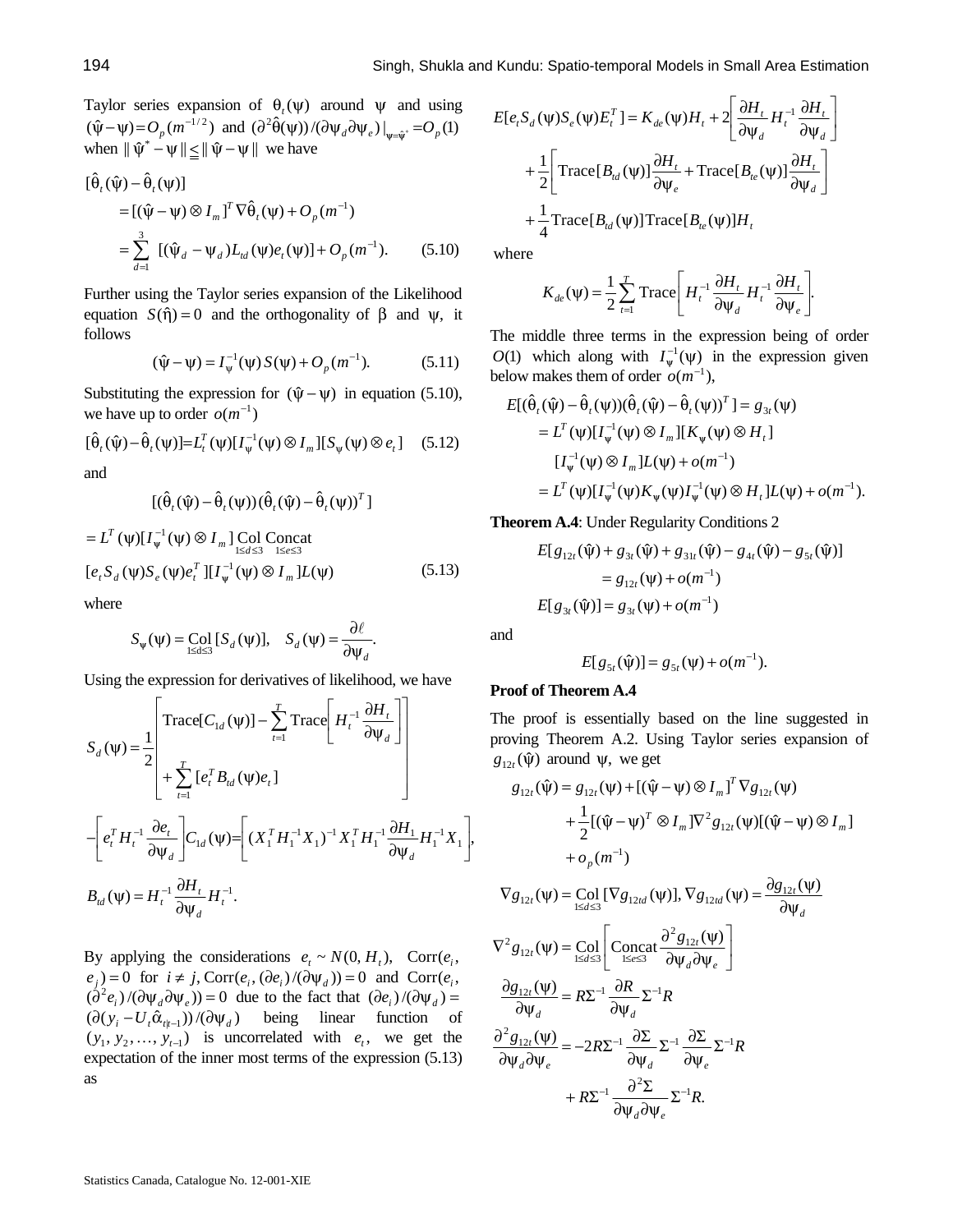Taylor series expansion of  $\theta_t(\psi)$  around  $\psi$  and using  $(\hat{\psi} - \psi) = O_p(m^{-1/2})$  and  $(\partial^2 \hat{\theta}(\psi)) / (\partial \psi_d \partial \psi_e)|_{\psi = \hat{\psi}^*} = O_p(1)$  $(\hat{\psi} - \psi) = O_p(m^{-1/2})$  and  $(\partial^2 \hat{\theta}(\psi))/(\partial \psi_d \partial \psi_e)|_{\psi = \hat{\psi}^*} = O_p$ <br>when  $\|\hat{\psi}^* - \psi\| \le \|\hat{\psi} - \psi\|$  we have

$$
\begin{aligned} \left[\hat{\theta}_{t}(\hat{\psi}) - \hat{\theta}_{t}(\psi)\right] \\ &= \left[(\hat{\psi} - \psi) \otimes I_{m}\right]^{T} \nabla \hat{\theta}_{t}(\psi) + O_{p}(m^{-1}) \\ &= \sum_{d=1}^{3} \left[ (\hat{\psi}_{d} - \psi_{d}) L_{td}(\psi) e_{t}(\psi) \right] + O_{p}(m^{-1}). \end{aligned} \tag{5.10}
$$

Further using the Taylor series expansion of the Likelihood equation  $S(\hat{\eta}) = 0$  and the orthogonality of  $\beta$  and  $\psi$ , it follows

$$
(\hat{\psi} - \psi) = I_{\psi}^{-1}(\psi) S(\psi) + O_p(m^{-1}).
$$
 (5.11)

Substituting the expression for  $(\hat{\psi} - \psi)$  in equation (5.10), we have up to order  $o(m^{-1})$ 

$$
[\hat{\theta}_t(\hat{\psi}) - \hat{\theta}_t(\psi)] = L_t^T(\psi)[I_{\psi}^{-1}(\psi) \otimes I_m][S_{\psi}(\psi) \otimes e_t] \quad (5.12)
$$

and

$$
[(\hat{\theta}_{t}(\hat{\psi}) - \hat{\theta}_{t}(\psi))(\hat{\theta}_{t}(\hat{\psi}) - \hat{\theta}_{t}(\psi))^{T}]
$$

$$
= L^T (\psi) [I_{\psi}^{-1} (\psi) \otimes I_m] \underset{1 \le d \le 3}{\text{Col Concat}}
$$
  
\n
$$
[e_t S_d (\psi) S_e (\psi) e_t^T] [I_{\psi}^{-1} (\psi) \otimes I_m] L(\psi)
$$
 (5.13)

where

$$
S_{\psi}(\psi) = \underset{1 \le d \le 3}{\text{Col}} [S_d(\psi)], \quad S_d(\psi) = \frac{\partial \ell}{\partial \psi_d}.
$$

Using the expression for derivatives of likelihood, we have

$$
S_d(\psi) = \frac{1}{2} \left[ \text{Trace}[C_{1d}(\psi)] - \sum_{t=1}^T \text{Trace}\left[H_t^{-1} \frac{\partial H_t}{\partial \psi_d}\right] \right]
$$
  

$$
- \left[e_t^T H_t^{-1} \frac{\partial e_t}{\partial \psi_d}\right] C_{1d}(\psi) = \left[ (X_1^T H_1^{-1} X_1)^{-1} X_1^T H_1^{-1} \frac{\partial H_1}{\partial \psi_d} H_1^{-1} X_1 \right],
$$
  

$$
B_{td}(\psi) = H_t^{-1} \frac{\partial H_t}{\partial \psi_d} H_t^{-1}.
$$

By applying the considerations  $e_t \sim N(0, H_t)$ , Corr $(e_i,$  $(e_j) = 0$  for  $i \neq j$ , Corr $(e_i, (\partial e_i)/(\partial \Psi_d)) = 0$  and Corr $(e_i,$  $(\dot{\partial}^2 e_i) / (\partial \psi_d \partial \psi_e) = 0$  due to the fact that  $(\partial e_i) / (\partial \psi_d) =$  $(\partial (y_i - U_i \hat{\alpha}_{t|t-1})) / (\partial \psi_d)$  being linear function of  $(y_1, y_2, \ldots, y_{t-1})$  is uncorrelated with  $e_t$ , we get the expectation of the inner most terms of the expression (5.13) as

$$
E[e_{t}S_{d}(\psi)S_{e}(\psi)E_{t}^{T}] = K_{de}(\psi)H_{t} + 2\left[\frac{\partial H_{t}}{\partial \psi_{d}}H_{t}^{-1}\frac{\partial H_{t}}{\partial \psi_{d}}\right]
$$

$$
+ \frac{1}{2}\left[\text{Trace}[B_{td}(\psi)]\frac{\partial H_{t}}{\partial \psi_{e}} + \text{Trace}[B_{te}(\psi)]\frac{\partial H_{t}}{\partial \psi_{d}}\right]
$$

$$
+ \frac{1}{4}\text{Trace}[B_{td}(\psi)]\text{Trace}[B_{te}(\psi)]H_{t}
$$

where

$$
K_{de}(\psi) = \frac{1}{2} \sum_{t=1}^{T} \text{Trace}\left[H_t^{-1} \frac{\partial H_t}{\partial \psi_d} H_t^{-1} \frac{\partial H_t}{\partial \psi_e}\right].
$$

The middle three terms in the expression being of order *O*(1) which along with  $I_w^{-1}(\psi)$  in the expression given below makes them of order  $o(m^{-1})$ ,

$$
E[(\hat{\theta}_{t}(\hat{\psi}) - \hat{\theta}_{t}(\psi))(\hat{\theta}_{t}(\hat{\psi}) - \hat{\theta}_{t}(\psi))^{T}] = g_{3t}(\psi)
$$
  
=  $L^{T}(\psi)[I_{\psi}^{-1}(\psi) \otimes I_{m}][K_{\psi}(\psi) \otimes H_{t}]$   

$$
[I_{\psi}^{-1}(\psi) \otimes I_{m}]L(\psi) + o(m^{-1})
$$
  
=  $L^{T}(\psi)[I_{\psi}^{-1}(\psi)K_{\psi}(\psi)I_{\psi}^{-1}(\psi) \otimes H_{t}]L(\psi) + o(m^{-1}).$ 

**Theorem A.4**: Under Regularity Conditions 2

$$
E[g_{12t}(\hat{\psi}) + g_{3t}(\hat{\psi}) + g_{31t}(\hat{\psi}) - g_{4t}(\hat{\psi}) - g_{5t}(\hat{\psi})]
$$
  
=  $g_{12t}(\psi) + o(m^{-1})$   

$$
E[g_{3t}(\hat{\psi})] = g_{3t}(\psi) + o(m^{-1})
$$

and

$$
E[g_{5t}(\hat{\psi})] = g_{5t}(\psi) + o(m^{-1}).
$$

# **Proof of Theorem A.4**

The proof is essentially based on the line suggested in proving Theorem A.2. Using Taylor series expansion of  $g_{12t}(\hat{\psi})$  around  $\psi$ , we get

$$
g_{12t}(\hat{\psi}) = g_{12t}(\psi) + [(\hat{\psi} - \psi) \otimes I_m]^T \nabla g_{12t}(\psi) + \frac{1}{2} [(\hat{\psi} - \psi)^T \otimes I_m] \nabla^2 g_{12t}(\psi) [(\hat{\psi} - \psi) \otimes I_m] + o_p(m^{-1})
$$

$$
\nabla g_{12t}(\psi) = \operatorname{Col}_{1 \le d \le 3} [\nabla g_{12td}(\psi)], \nabla g_{12td}(\psi) = \frac{\partial g_{12t}(\psi)}{\partial \psi_d}
$$
  

$$
\nabla^2 g_{12t}(\psi) = \operatorname{Col}_{1 \le d \le 3} \left[ \operatorname{Concat}_{1 \le e \le 3} \frac{\partial^2 g_{12t}(\psi)}{\partial \psi_d \partial \psi_e} \right]
$$
  

$$
\frac{\partial g_{12t}(\psi)}{\partial \psi_d} = R\Sigma^{-1} \frac{\partial R}{\partial \psi_d} \Sigma^{-1} R
$$

$$
\frac{\partial^2 g_{12t}(\psi)}{\partial \psi_d \partial \psi_e} = -2R\Sigma^{-1} \frac{\partial \Sigma}{\partial \psi_d} \Sigma^{-1} \frac{\partial \Sigma}{\partial \psi_e} \Sigma^{-1} R
$$

$$
+ R\Sigma^{-1} \frac{\partial^2 \Sigma}{\partial \psi_d \partial \psi_e} \Sigma^{-1} R.
$$